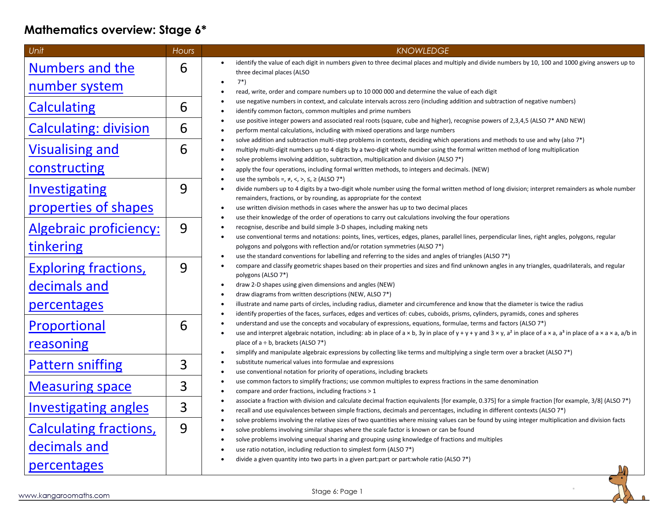# **Mathematics overview: Stage 6\***

| Unit                                                              | Hours | <b>KNOWLEDGE</b>                                                                                                                                                                                                                                                                                                                                                                                                                                                                                                                                                                  |
|-------------------------------------------------------------------|-------|-----------------------------------------------------------------------------------------------------------------------------------------------------------------------------------------------------------------------------------------------------------------------------------------------------------------------------------------------------------------------------------------------------------------------------------------------------------------------------------------------------------------------------------------------------------------------------------|
| Numbers and the                                                   | 6     | identify the value of each digit in numbers given to three decimal places and multiply and divide numbers by 10, 100 and 1000 giving answers up to<br>$\bullet$<br>three decimal places (ALSO                                                                                                                                                                                                                                                                                                                                                                                     |
| <u>number system</u>                                              |       | 7*)<br>$\bullet$<br>read, write, order and compare numbers up to 10 000 000 and determine the value of each digit                                                                                                                                                                                                                                                                                                                                                                                                                                                                 |
| <b>Calculating</b>                                                | 6     | use negative numbers in context, and calculate intervals across zero (including addition and subtraction of negative numbers)<br>identify common factors, common multiples and prime numbers                                                                                                                                                                                                                                                                                                                                                                                      |
| <b>Calculating: division</b>                                      | 6     | use positive integer powers and associated real roots (square, cube and higher), recognise powers of 2,3,4,5 (ALSO 7* AND NEW)<br>perform mental calculations, including with mixed operations and large numbers                                                                                                                                                                                                                                                                                                                                                                  |
| <b>Visualising and</b><br>constructing                            | 6     | solve addition and subtraction multi-step problems in contexts, deciding which operations and methods to use and why (also 7 <sup>*</sup> )<br>multiply multi-digit numbers up to 4 digits by a two-digit whole number using the formal written method of long multiplication<br>solve problems involving addition, subtraction, multiplication and division (ALSO 7*)<br>apply the four operations, including formal written methods, to integers and decimals. (NEW)                                                                                                            |
| <b>Investigating</b><br>properties of shapes                      | 9     | use the symbols =, $\neq$ , <, >, $\leq$ , $\geq$ (ALSO 7*)<br>divide numbers up to 4 digits by a two-digit whole number using the formal written method of long division; interpret remainders as whole number<br>remainders, fractions, or by rounding, as appropriate for the context<br>use written division methods in cases where the answer has up to two decimal places<br>use their knowledge of the order of operations to carry out calculations involving the four operations                                                                                         |
| Algebraic proficiency:<br>tinkering                               | 9     | recognise, describe and build simple 3-D shapes, including making nets<br>use conventional terms and notations: points, lines, vertices, edges, planes, parallel lines, perpendicular lines, right angles, polygons, regular<br>polygons and polygons with reflection and/or rotation symmetries (ALSO 7*)<br>use the standard conventions for labelling and referring to the sides and angles of triangles (ALSO 7*)<br>$\bullet$                                                                                                                                                |
| <b>Exploring fractions,</b><br>decimals and<br><b>percentages</b> | 9     | compare and classify geometric shapes based on their properties and sizes and find unknown angles in any triangles, quadrilaterals, and regular<br>polygons (ALSO 7*)<br>draw 2-D shapes using given dimensions and angles (NEW)<br>$\bullet$<br>draw diagrams from written descriptions (NEW, ALSO 7*)<br>illustrate and name parts of circles, including radius, diameter and circumference and know that the diameter is twice the radius<br>identify properties of the faces, surfaces, edges and vertices of: cubes, cuboids, prisms, cylinders, pyramids, cones and spheres |
| Proportional<br>reasoning                                         | 6     | understand and use the concepts and vocabulary of expressions, equations, formulae, terms and factors (ALSO 7*)<br>use and interpret algebraic notation, including: ab in place of a × b, 3y in place of y + y + y and 3 × y, a <sup>2</sup> in place of a × a, a <sup>3</sup> in place of a × a, a <sup>3</sup> in place of a × a, a <sup>3</sup> in place of a × a × a, a/b in<br>$\bullet$<br>place of $a \div b$ , brackets (ALSO 7*)<br>simplify and manipulate algebraic expressions by collecting like terms and multiplying a single term over a bracket (ALSO 7*)<br>٠   |
| <b>Pattern sniffing</b>                                           | 3     | substitute numerical values into formulae and expressions<br>use conventional notation for priority of operations, including brackets                                                                                                                                                                                                                                                                                                                                                                                                                                             |
| <b>Measuring space</b>                                            | 3     | use common factors to simplify fractions; use common multiples to express fractions in the same denomination<br>compare and order fractions, including fractions > 1<br>$\bullet$                                                                                                                                                                                                                                                                                                                                                                                                 |
| <b>Investigating angles</b>                                       | 3     | associate a fraction with division and calculate decimal fraction equivalents [for example, 0.375] for a simple fraction [for example, 3/8] (ALSO 7*)<br>$\bullet$<br>recall and use equivalences between simple fractions, decimals and percentages, including in different contexts (ALSO 7*)                                                                                                                                                                                                                                                                                   |
| <b>Calculating fractions,</b>                                     | 9     | solve problems involving the relative sizes of two quantities where missing values can be found by using integer multiplication and division facts<br>solve problems involving similar shapes where the scale factor is known or can be found                                                                                                                                                                                                                                                                                                                                     |
| decimals and                                                      |       | solve problems involving unequal sharing and grouping using knowledge of fractions and multiples<br>use ratio notation, including reduction to simplest form (ALSO 7*)                                                                                                                                                                                                                                                                                                                                                                                                            |
| <b>percentages</b>                                                |       | divide a given quantity into two parts in a given part: part or part: whole ratio (ALSO 7*)                                                                                                                                                                                                                                                                                                                                                                                                                                                                                       |

Stage 6: Page 1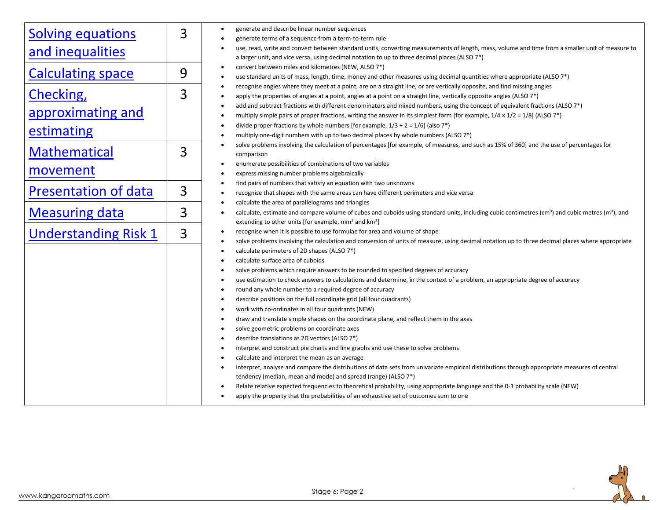| <b>Solving equations</b>    | 3 | generate and describe linear number sequences                                                                                                                                                                                                    |
|-----------------------------|---|--------------------------------------------------------------------------------------------------------------------------------------------------------------------------------------------------------------------------------------------------|
|                             |   | generate terms of a sequence from a term-to-term rule                                                                                                                                                                                            |
| and inequalities            |   | use, read, write and convert between standard units, converting measurements of length, mass, volume and time from a smaller unit of measure to<br>a larger unit, and vice versa, using decimal notation to up to three decimal places (ALSO 7*) |
|                             |   | convert between miles and kilometres (NEW, ALSO 7*)<br>$\bullet$                                                                                                                                                                                 |
| <b>Calculating space</b>    | 9 | use standard units of mass, length, time, money and other measures using decimal quantities where appropriate (ALSO 7 <sup>*</sup> )<br>$\bullet$                                                                                                |
|                             |   | recognise angles where they meet at a point, are on a straight line, or are vertically opposite, and find missing angles<br>$\bullet$                                                                                                            |
| Checking,                   | 3 | apply the properties of angles at a point, angles at a point on a straight line, vertically opposite angles (ALSO $7^*$ )<br>$\bullet$                                                                                                           |
|                             |   | add and subtract fractions with different denominators and mixed numbers, using the concept of equivalent fractions (ALSO 7*)<br>٠                                                                                                               |
| approximating and           |   | multiply simple pairs of proper fractions, writing the answer in its simplest form [for example, $1/4 \times 1/2 = 1/8$ ] (ALSO 7*)<br>$\bullet$                                                                                                 |
|                             |   | divide proper fractions by whole numbers [for example, $1/3 \div 2 = 1/6$ ] (also 7*)<br>$\bullet$                                                                                                                                               |
| estimating                  |   | multiply one-digit numbers with up to two decimal places by whole numbers (ALSO 7*)<br>$\bullet$                                                                                                                                                 |
| <b>Mathematical</b>         | 3 | solve problems involving the calculation of percentages [for example, of measures, and such as 15% of 360] and the use of percentages for<br>$\bullet$                                                                                           |
|                             |   | comparison                                                                                                                                                                                                                                       |
| movement                    |   | enumerate possibilities of combinations of two variables<br>$\bullet$                                                                                                                                                                            |
|                             |   | express missing number problems algebraically<br>$\bullet$                                                                                                                                                                                       |
| <b>Presentation of data</b> | 3 | find pairs of numbers that satisfy an equation with two unknowns<br>recognise that shapes with the same areas can have different perimeters and vice versa<br>$\bullet$                                                                          |
|                             |   | calculate the area of parallelograms and triangles<br>$\bullet$                                                                                                                                                                                  |
| <b>Measuring data</b>       | 3 | calculate, estimate and compare volume of cubes and cuboids using standard units, including cubic centimetres (cm <sup>3</sup> ) and cubic metres (m <sup>3</sup> ), and<br>$\bullet$                                                            |
|                             |   | extending to other units [for example, mm <sup>3</sup> and km <sup>3</sup> ]                                                                                                                                                                     |
| <b>Understanding Risk 1</b> | 3 | recognise when it is possible to use formulae for area and volume of shape<br>$\bullet$                                                                                                                                                          |
|                             |   | solve problems involving the calculation and conversion of units of measure, using decimal notation up to three decimal places where appropriate<br>$\bullet$                                                                                    |
|                             |   | calculate perimeters of 2D shapes (ALSO 7*)<br>$\bullet$                                                                                                                                                                                         |
|                             |   | calculate surface area of cuboids<br>$\bullet$                                                                                                                                                                                                   |
|                             |   | solve problems which require answers to be rounded to specified degrees of accuracy<br>$\bullet$                                                                                                                                                 |
|                             |   | use estimation to check answers to calculations and determine, in the context of a problem, an appropriate degree of accuracy<br>$\bullet$                                                                                                       |
|                             |   | round any whole number to a required degree of accuracy                                                                                                                                                                                          |
|                             |   | describe positions on the full coordinate grid (all four quadrants)                                                                                                                                                                              |
|                             |   | work with co-ordinates in all four quadrants (NEW)<br>$\bullet$                                                                                                                                                                                  |
|                             |   | draw and translate simple shapes on the coordinate plane, and reflect them in the axes                                                                                                                                                           |
|                             |   | solve geometric problems on coordinate axes<br>$\bullet$                                                                                                                                                                                         |
|                             |   | describe translations as 2D vectors (ALSO 7*)                                                                                                                                                                                                    |
|                             |   | interpret and construct pie charts and line graphs and use these to solve problems                                                                                                                                                               |
|                             |   | calculate and interpret the mean as an average<br>$\bullet$                                                                                                                                                                                      |
|                             |   | interpret, analyse and compare the distributions of data sets from univariate empirical distributions through appropriate measures of central<br>$\bullet$                                                                                       |
|                             |   | tendency (median, mean and mode) and spread (range) (ALSO 7*)                                                                                                                                                                                    |
|                             |   | Relate relative expected frequencies to theoretical probability, using appropriate language and the 0-1 probability scale (NEW)<br>$\bullet$                                                                                                     |
|                             |   | apply the property that the probabilities of an exhaustive set of outcomes sum to one                                                                                                                                                            |

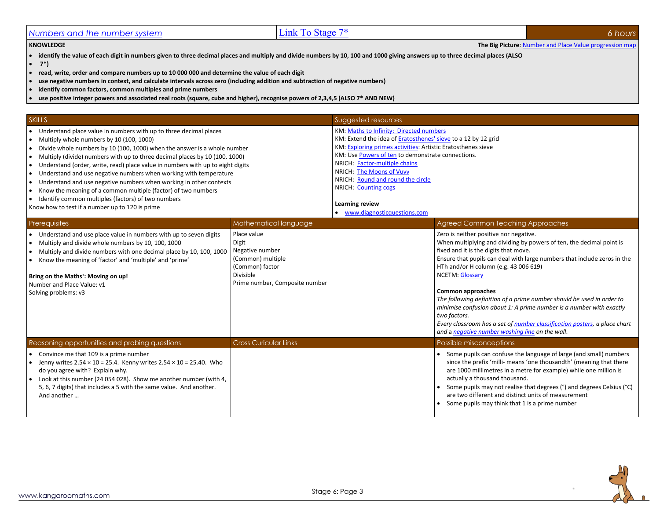### <span id="page-2-0"></span>*[Numbers and the number system](file://sweep/teacher$/maths/2014%2015%20Area/Schemes%20of%20Work/KS3/Maths%20Links%20Topics/Stage%206%20Numbers%20and%20the%20Number%20System.xlsx)* Link To Stage 7\* *6 hours*

### **KNOWLEDGE The Big Picture**[: Number and Place Value progression map](http://kangaroomaths.com/free_resources/planning/KM_MathematicsProgression_NumberPlaceValue.xlsx)

- **identify the value of each digit in numbers given to three decimal places and multiply and divide numbers by 10, 100 and 1000 giving answers up to three decimal places (ALSO**
- **7\*)**
- **read, write, order and compare numbers up to 10 000 000 and determine the value of each digit**
- **use negative numbers in context, and calculate intervals across zero (including addition and subtraction of negative numbers)**
- **identify common factors, common multiples and prime numbers**
- **use positive integer powers and associated real roots (square, cube and higher), recognise powers of 2,3,4,5 (ALSO 7\* AND NEW)**

| <b>SKILLS</b>                                                                                                                                                                                                                                                                                                                                                                                                                                                                                                                                                                                                                                                                                                                                      |                                                                                                                                       | Suggested resources                                                                                                                                                                                                                                                                                                                                                                                                |                                                                                                                                                                                                                                                                                                                                                                                                                                                                                                                                                                                                                                    |  |
|----------------------------------------------------------------------------------------------------------------------------------------------------------------------------------------------------------------------------------------------------------------------------------------------------------------------------------------------------------------------------------------------------------------------------------------------------------------------------------------------------------------------------------------------------------------------------------------------------------------------------------------------------------------------------------------------------------------------------------------------------|---------------------------------------------------------------------------------------------------------------------------------------|--------------------------------------------------------------------------------------------------------------------------------------------------------------------------------------------------------------------------------------------------------------------------------------------------------------------------------------------------------------------------------------------------------------------|------------------------------------------------------------------------------------------------------------------------------------------------------------------------------------------------------------------------------------------------------------------------------------------------------------------------------------------------------------------------------------------------------------------------------------------------------------------------------------------------------------------------------------------------------------------------------------------------------------------------------------|--|
| • Understand place value in numbers with up to three decimal places<br>Multiply whole numbers by 10 (100, 1000)<br>$\bullet$<br>Divide whole numbers by 10 (100, 1000) when the answer is a whole number<br>$\bullet$<br>Multiply (divide) numbers with up to three decimal places by 10 (100, 1000)<br>$\bullet$<br>Understand (order, write, read) place value in numbers with up to eight digits<br>$\bullet$<br>Understand and use negative numbers when working with temperature<br>$\bullet$<br>Understand and use negative numbers when working in other contexts<br>Know the meaning of a common multiple (factor) of two numbers<br>Identify common multiples (factors) of two numbers<br>Know how to test if a number up to 120 is prime |                                                                                                                                       | KM: Maths to Infinity: Directed numbers<br>KM: Extend the idea of Eratosthenes' sieve to a 12 by 12 grid<br>KM: Exploring primes activities: Artistic Eratosthenes sieve<br>KM: Use Powers of ten to demonstrate connections.<br>NRICH: Factor-multiple chains<br>NRICH: The Moons of Vuvv<br>NRICH: Round and round the circle<br><b>NRICH: Counting cogs</b><br>Learning review<br>• www.diagnosticquestions.com |                                                                                                                                                                                                                                                                                                                                                                                                                                                                                                                                                                                                                                    |  |
| Prerequisites                                                                                                                                                                                                                                                                                                                                                                                                                                                                                                                                                                                                                                                                                                                                      | Mathematical language                                                                                                                 |                                                                                                                                                                                                                                                                                                                                                                                                                    | Agreed Common Teaching Approaches                                                                                                                                                                                                                                                                                                                                                                                                                                                                                                                                                                                                  |  |
| • Understand and use place value in numbers with up to seven digits<br>Multiply and divide whole numbers by 10, 100, 1000<br>Multiply and divide numbers with one decimal place by 10, 100, 1000<br>Know the meaning of 'factor' and 'multiple' and 'prime'<br>Bring on the Maths <sup>+</sup> : Moving on up!<br>Number and Place Value: v1<br>Solving problems: v3                                                                                                                                                                                                                                                                                                                                                                               | Place value<br><b>Digit</b><br>Negative number<br>(Common) multiple<br>(Common) factor<br>Divisible<br>Prime number, Composite number |                                                                                                                                                                                                                                                                                                                                                                                                                    | Zero is neither positive nor negative.<br>When multiplying and dividing by powers of ten, the decimal point is<br>fixed and it is the digits that move.<br>Ensure that pupils can deal with large numbers that include zeros in the<br>HTh and/or H column (e.g. 43 006 619)<br><b>NCETM: Glossary</b><br><b>Common approaches</b><br>The following definition of a prime number should be used in order to<br>minimise confusion about 1: A prime number is a number with exactly<br>two factors.<br>Every classroom has a set of number classification posters, a place chart<br>and a negative number washing line on the wall. |  |
| Reasoning opportunities and probing questions                                                                                                                                                                                                                                                                                                                                                                                                                                                                                                                                                                                                                                                                                                      | <b>Cross Curicular Links</b>                                                                                                          |                                                                                                                                                                                                                                                                                                                                                                                                                    | Possible misconceptions                                                                                                                                                                                                                                                                                                                                                                                                                                                                                                                                                                                                            |  |
| • Convince me that 109 is a prime number<br>• Jenny writes $2.54 \times 10 = 25.4$ . Kenny writes $2.54 \times 10 = 25.40$ . Who<br>do you agree with? Explain why.<br>Look at this number (24 054 028). Show me another number (with 4,<br>5, 6, 7 digits) that includes a 5 with the same value. And another.<br>And another                                                                                                                                                                                                                                                                                                                                                                                                                     |                                                                                                                                       |                                                                                                                                                                                                                                                                                                                                                                                                                    | • Some pupils can confuse the language of large (and small) numbers<br>since the prefix 'milli- means 'one thousandth' (meaning that there<br>are 1000 millimetres in a metre for example) while one million is<br>actually a thousand thousand.<br>Some pupils may not realise that degrees (°) and degrees Celsius (°C)<br>are two different and distinct units of measurement<br>Some pupils may think that 1 is a prime number                                                                                                                                                                                                 |  |

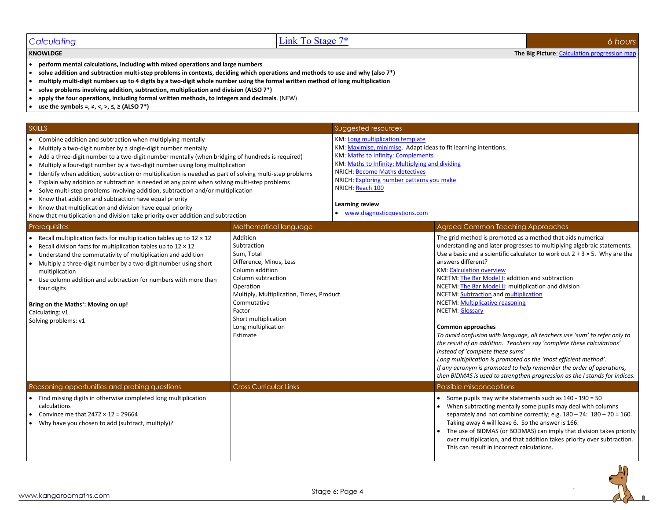# <span id="page-3-0"></span>*[Calculating](file://sweep/teacher$/maths/2014%2015%20Area/Schemes%20of%20Work/KS3/Maths%20Links%20Topics/Stage%206%20Calculating.xlsx)* [Link To Stage 7\\*](file://sweep/teacher$/maths/Teaching%20Plans%20(Linked)/2017%2018%20Teaching%20Plans%20and%20SOW/Schemes%20Of%20Work/KS3%20Stages/St7%20Star_sow.docx) *6 hours*

**KNOWLDGE The Big Picture**[: Calculation progression map](http://kangaroomaths.com/free_resources/planning/KM_MathematicsProgression_NumberCalculation.xlsx)

- **perform mental calculations, including with mixed operations and large numbers**
- **solve addition and subtraction multi-step problems in contexts, deciding which operations and methods to use and why (also 7\*)**
- **multiply multi-digit numbers up to 4 digits by a two-digit whole number using the formal written method of long multiplication**
- **solve problems involving addition, subtraction, multiplication and division (ALSO 7\*)**
- **apply the four operations, including formal written methods, to integers and decimals**. (NEW)
- **use the symbols =,**  $\neq$ **,**  $\lt$ **,**  $\gt$ **,**  $\leq$ **,**  $\geq$  **(ALSO 7<sup>\*</sup>)**

| <b>SKILLS</b>                                                                                                                                                                                                                                                                                                                                                                                                                                                                                                                                                                                                                                                                                                                                                                                                                                                                                          |                                                                                                                                                                                                                                                        | Suggested resources                                                                                                                                                                                                                                                                                                                                        |                                                                                                                                                                                                                                                                                                                                                                                                                                                                                                                                                                                                                                                                                                                                                                                                                                                                                                                                                               |
|--------------------------------------------------------------------------------------------------------------------------------------------------------------------------------------------------------------------------------------------------------------------------------------------------------------------------------------------------------------------------------------------------------------------------------------------------------------------------------------------------------------------------------------------------------------------------------------------------------------------------------------------------------------------------------------------------------------------------------------------------------------------------------------------------------------------------------------------------------------------------------------------------------|--------------------------------------------------------------------------------------------------------------------------------------------------------------------------------------------------------------------------------------------------------|------------------------------------------------------------------------------------------------------------------------------------------------------------------------------------------------------------------------------------------------------------------------------------------------------------------------------------------------------------|---------------------------------------------------------------------------------------------------------------------------------------------------------------------------------------------------------------------------------------------------------------------------------------------------------------------------------------------------------------------------------------------------------------------------------------------------------------------------------------------------------------------------------------------------------------------------------------------------------------------------------------------------------------------------------------------------------------------------------------------------------------------------------------------------------------------------------------------------------------------------------------------------------------------------------------------------------------|
| • Combine addition and subtraction when multiplying mentally<br>Multiply a two-digit number by a single-digit number mentally<br>Add a three-digit number to a two-digit number mentally (when bridging of hundreds is required)<br>Multiply a four-digit number by a two-digit number using long multiplication<br>$\bullet$<br>Identify when addition, subtraction or multiplication is needed as part of solving multi-step problems<br>$\bullet$<br>Explain why addition or subtraction is needed at any point when solving multi-step problems<br>$\bullet$<br>Solve multi-step problems involving addition, subtraction and/or multiplication<br>$\bullet$<br>Know that addition and subtraction have equal priority<br>$\bullet$<br>Know that multiplication and division have equal priority<br>$\bullet$<br>Know that multiplication and division take priority over addition and subtraction |                                                                                                                                                                                                                                                        | KM: Long multiplication template<br>KM: Maximise, minimise. Adapt ideas to fit learning intentions.<br>KM: Maths to Infinity: Complements<br>KM: Maths to Infinity: Multiplying and dividing<br><b>NRICH: Become Maths detectives</b><br>NRICH: Exploring number patterns you make<br>NRICH: Reach 100<br>Learning review<br>• www.diagnosticquestions.com |                                                                                                                                                                                                                                                                                                                                                                                                                                                                                                                                                                                                                                                                                                                                                                                                                                                                                                                                                               |
| Prerequisites                                                                                                                                                                                                                                                                                                                                                                                                                                                                                                                                                                                                                                                                                                                                                                                                                                                                                          | Mathematical language                                                                                                                                                                                                                                  |                                                                                                                                                                                                                                                                                                                                                            | Agreed Common Teaching Approaches                                                                                                                                                                                                                                                                                                                                                                                                                                                                                                                                                                                                                                                                                                                                                                                                                                                                                                                             |
| Recall multiplication facts for multiplication tables up to $12 \times 12$<br>Recall division facts for multiplication tables up to $12 \times 12$<br>$\bullet$<br>Understand the commutativity of multiplication and addition<br>$\bullet$<br>• Multiply a three-digit number by a two-digit number using short<br>multiplication<br>• Use column addition and subtraction for numbers with more than<br>four digits<br>Bring on the Maths <sup>+</sup> : Moving on up!<br>Calculating: v1<br>Solving problems: v1                                                                                                                                                                                                                                                                                                                                                                                    | Addition<br>Subtraction<br>Sum. Total<br>Difference, Minus, Less<br>Column addition<br>Column subtraction<br>Operation<br>Multiply, Multiplication, Times, Product<br>Commutative<br>Factor<br>Short multiplication<br>Long multiplication<br>Estimate |                                                                                                                                                                                                                                                                                                                                                            | The grid method is promoted as a method that aids numerical<br>understanding and later progresses to multiplying algebraic statements.<br>Use a basic and a scientific calculator to work out $2 + 3 \times 5$ . Why are the<br>answers different?<br><b>KM: Calculation overview</b><br>NCETM: The Bar Model I: addition and subtraction<br>NCETM: The Bar Model II: multiplication and division<br>NCETM: Subtraction and multiplication<br><b>NCETM: Multiplicative reasoning</b><br><b>NCETM: Glossary</b><br><b>Common approaches</b><br>To avoid confusion with language, all teachers use 'sum' to refer only to<br>the result of an addition. Teachers say 'complete these calculations'<br>instead of 'complete these sums'<br>Long multiplication is promoted as the 'most efficient method'.<br>If any acronym is promoted to help remember the order of operations,<br>then BIDMAS is used to strengthen progression as the I stands for indices. |
| Reasoning opportunities and probing questions                                                                                                                                                                                                                                                                                                                                                                                                                                                                                                                                                                                                                                                                                                                                                                                                                                                          | <b>Cross Curricular Links</b>                                                                                                                                                                                                                          |                                                                                                                                                                                                                                                                                                                                                            | Possible misconceptions                                                                                                                                                                                                                                                                                                                                                                                                                                                                                                                                                                                                                                                                                                                                                                                                                                                                                                                                       |
| • Find missing digits in otherwise completed long multiplication<br>calculations<br>Convince me that $2472 \times 12 = 29664$<br>• Why have you chosen to add (subtract, multiply)?                                                                                                                                                                                                                                                                                                                                                                                                                                                                                                                                                                                                                                                                                                                    |                                                                                                                                                                                                                                                        |                                                                                                                                                                                                                                                                                                                                                            | • Some pupils may write statements such as 140 - 190 = 50<br>• When subtracting mentally some pupils may deal with columns<br>separately and not combine correctly; e.g. $180 - 24$ : $180 - 20 = 160$ .<br>Taking away 4 will leave 6. So the answer is 166.<br>• The use of BIDMAS (or BODMAS) can imply that division takes priority<br>over multiplication, and that addition takes priority over subtraction.<br>This can result in incorrect calculations.                                                                                                                                                                                                                                                                                                                                                                                                                                                                                              |

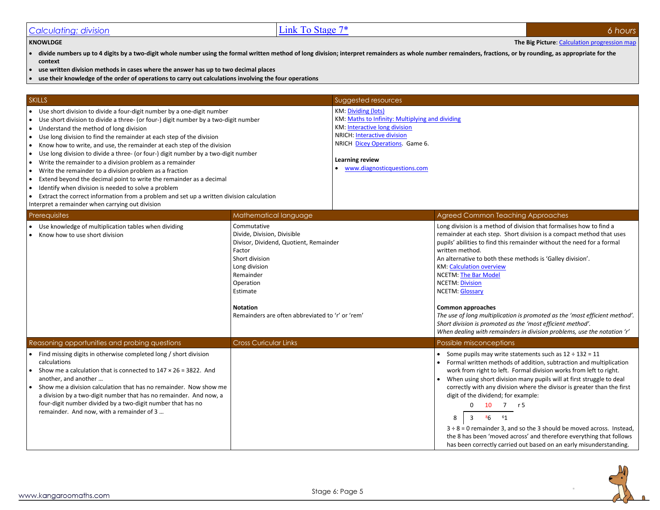### <span id="page-4-0"></span>*[Calculating: division](file://sweep/teacher$/maths/2014%2015%20Area/Schemes%20of%20Work/KS3/Maths%20Links%20Topics/Stage%206%20Calculating%20Division.xlsx)* [Link To Stage 7\\*](file://sweep/teacher$/maths/Teaching%20Plans%20(Linked)/2017%2018%20Teaching%20Plans%20and%20SOW/Schemes%20Of%20Work/KS3%20Stages/St7%20Star_sow.docx) *6 hours*

**KNOWLDGE The Big Picture**[: Calculation progression map](http://kangaroomaths.com/free_resources/planning/KM_MathematicsProgression_NumberCalculation.xlsx)

- **divide numbers up to 4 digits by a two-digit whole number using the formal written method of long division; interpret remainders as whole number remainders, fractions, or by rounding, as appropriate for the context**
- **use written division methods in cases where the answer has up to two decimal places**
- **use their knowledge of the order of operations to carry out calculations involving the four operations**

| <b>SKILLS</b>                                                                                                                                                                                                                                                                                                                                                                                                                                                                                                                                                                                                                                                                                                                                                                                                                                                                                                                                     |                                                                                                                                                                                                                                                | Suggested resources                                                                                                                                                                                                                |                                                                                                                                                                                                                                                                                                                                                                                                                                                                                                                                                                                                                                                                                                  |
|---------------------------------------------------------------------------------------------------------------------------------------------------------------------------------------------------------------------------------------------------------------------------------------------------------------------------------------------------------------------------------------------------------------------------------------------------------------------------------------------------------------------------------------------------------------------------------------------------------------------------------------------------------------------------------------------------------------------------------------------------------------------------------------------------------------------------------------------------------------------------------------------------------------------------------------------------|------------------------------------------------------------------------------------------------------------------------------------------------------------------------------------------------------------------------------------------------|------------------------------------------------------------------------------------------------------------------------------------------------------------------------------------------------------------------------------------|--------------------------------------------------------------------------------------------------------------------------------------------------------------------------------------------------------------------------------------------------------------------------------------------------------------------------------------------------------------------------------------------------------------------------------------------------------------------------------------------------------------------------------------------------------------------------------------------------------------------------------------------------------------------------------------------------|
| • Use short division to divide a four-digit number by a one-digit number<br>Use short division to divide a three- (or four-) digit number by a two-digit number<br>Understand the method of long division<br>Use long division to find the remainder at each step of the division<br>$\bullet$<br>Know how to write, and use, the remainder at each step of the division<br>$\bullet$<br>Use long division to divide a three- (or four-) digit number by a two-digit number<br>$\bullet$<br>Write the remainder to a division problem as a remainder<br>Write the remainder to a division problem as a fraction<br>$\bullet$<br>Extend beyond the decimal point to write the remainder as a decimal<br>$\bullet$<br>Identify when division is needed to solve a problem<br>$\bullet$<br>Extract the correct information from a problem and set up a written division calculation<br>$\bullet$<br>Interpret a remainder when carrying out division |                                                                                                                                                                                                                                                | <b>KM: Dividing (lots)</b><br>KM: Maths to Infinity: Multiplying and dividing<br>KM: Interactive long division<br>NRICH: Interactive division<br>NRICH Dicey Operations. Game 6.<br>Learning review<br>www.diagnosticquestions.com |                                                                                                                                                                                                                                                                                                                                                                                                                                                                                                                                                                                                                                                                                                  |
| Prerequisites                                                                                                                                                                                                                                                                                                                                                                                                                                                                                                                                                                                                                                                                                                                                                                                                                                                                                                                                     | Mathematical language                                                                                                                                                                                                                          |                                                                                                                                                                                                                                    | Agreed Common Teaching Approaches                                                                                                                                                                                                                                                                                                                                                                                                                                                                                                                                                                                                                                                                |
| • Use knowledge of multiplication tables when dividing<br>Know how to use short division                                                                                                                                                                                                                                                                                                                                                                                                                                                                                                                                                                                                                                                                                                                                                                                                                                                          | Commutative<br>Divide, Division, Divisible<br>Divisor, Dividend, Quotient, Remainder<br>Factor<br>Short division<br>Long division<br>Remainder<br>Operation<br>Estimate<br><b>Notation</b><br>Remainders are often abbreviated to 'r' or 'rem' |                                                                                                                                                                                                                                    | Long division is a method of division that formalises how to find a<br>remainder at each step. Short division is a compact method that uses<br>pupils' abilities to find this remainder without the need for a formal<br>written method.<br>An alternative to both these methods is 'Galley division'.<br><b>KM: Calculation overview</b><br>NCETM: The Bar Model<br><b>NCETM: Division</b><br><b>NCETM: Glossary</b><br><b>Common approaches</b><br>The use of long multiplication is promoted as the 'most efficient method'.<br>Short division is promoted as the 'most efficient method'.<br>When dealing with remainders in division problems, use the notation 'r'                         |
| Reasoning opportunities and probing questions                                                                                                                                                                                                                                                                                                                                                                                                                                                                                                                                                                                                                                                                                                                                                                                                                                                                                                     | <b>Cross Curicular Links</b>                                                                                                                                                                                                                   |                                                                                                                                                                                                                                    | Possible misconceptions                                                                                                                                                                                                                                                                                                                                                                                                                                                                                                                                                                                                                                                                          |
| Find missing digits in otherwise completed long / short division<br>calculations<br>Show me a calculation that is connected to $147 \times 26 = 3822$ . And<br>another, and another<br>Show me a division calculation that has no remainder. Now show me<br>a division by a two-digit number that has no remainder. And now, a<br>four-digit number divided by a two-digit number that has no<br>remainder. And now, with a remainder of 3                                                                                                                                                                                                                                                                                                                                                                                                                                                                                                        |                                                                                                                                                                                                                                                |                                                                                                                                                                                                                                    | • Some pupils may write statements such as $12 \div 132 = 11$<br>• Formal written methods of addition, subtraction and multiplication<br>work from right to left. Formal division works from left to right.<br>When using short division many pupils will at first struggle to deal<br>correctly with any division where the divisor is greater than the first<br>digit of the dividend; for example:<br>$\mathbf 0$<br>10<br>7 r 5<br>61<br>86<br>8<br>$\overline{3}$<br>$3 \div 8 = 0$ remainder 3, and so the 3 should be moved across. Instead,<br>the 8 has been 'moved across' and therefore everything that follows<br>has been correctly carried out based on an early misunderstanding. |

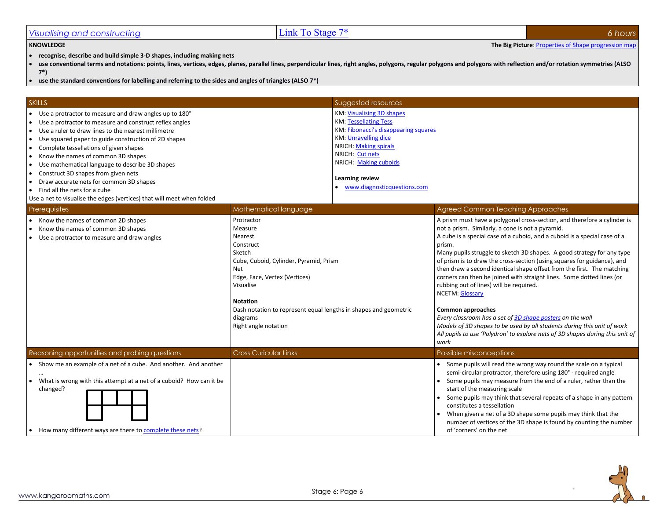# <span id="page-5-0"></span>*[Visualising and constructing](file://sweep/teacher$/maths/2014%2015%20Area/Schemes%20of%20Work/KS3/Maths%20Links%20Topics/Stage%206%20Visualising%20and%20Constructing.xlsx)* [Link To Stage 7\\*](file://sweep/teacher$/maths/Teaching%20Plans%20(Linked)/2017%2018%20Teaching%20Plans%20and%20SOW/Schemes%20Of%20Work/KS3%20Stages/St7%20Star_sow.docx) *6 hours*

**KNOWLEDGE The Big Picture[: Properties of Shape progression map](http://kangaroomaths.com/free_resources/planning/KM_MathematicsProgression_GeometryPropertiesShape.xlsx)** 

- **recognise, describe and build simple 3-D shapes, including making nets**
- . use conventional terms and notations: points, lines, vertices, edges, planes, parallel lines, perpendicular lines, right angles, polygons, regular polygons and polygons with reflection and/or rotation symmetries (ALSO **7\*)**
- **use the standard conventions for labelling and referring to the sides and angles of triangles (ALSO 7\*)**

| <b>SKILLS</b>                                                                                                                                                                                                                                                                                                                                                                                                                                                                                                                                                                                                         |                                                                                                                                                                                                                                                                                   | Suggested resources                                                                                                                                                                                                                                                            |                                                                                                                                                                                                                                                                                                                                                                                                                                                                                                                                                                                                                                                                                                                                                                                                                                                               |
|-----------------------------------------------------------------------------------------------------------------------------------------------------------------------------------------------------------------------------------------------------------------------------------------------------------------------------------------------------------------------------------------------------------------------------------------------------------------------------------------------------------------------------------------------------------------------------------------------------------------------|-----------------------------------------------------------------------------------------------------------------------------------------------------------------------------------------------------------------------------------------------------------------------------------|--------------------------------------------------------------------------------------------------------------------------------------------------------------------------------------------------------------------------------------------------------------------------------|---------------------------------------------------------------------------------------------------------------------------------------------------------------------------------------------------------------------------------------------------------------------------------------------------------------------------------------------------------------------------------------------------------------------------------------------------------------------------------------------------------------------------------------------------------------------------------------------------------------------------------------------------------------------------------------------------------------------------------------------------------------------------------------------------------------------------------------------------------------|
| • Use a protractor to measure and draw angles up to 180°<br>Use a protractor to measure and construct reflex angles<br>Use a ruler to draw lines to the nearest millimetre<br>$\bullet$<br>Use squared paper to guide construction of 2D shapes<br>$\bullet$<br>Complete tessellations of given shapes<br>$\bullet$<br>Know the names of common 3D shapes<br>$\bullet$<br>Use mathematical language to describe 3D shapes<br>Construct 3D shapes from given nets<br>Draw accurate nets for common 3D shapes<br>Find all the nets for a cube<br>Use a net to visualise the edges (vertices) that will meet when folded |                                                                                                                                                                                                                                                                                   | <b>KM: Visualising 3D shapes</b><br><b>KM: Tessellating Tess</b><br>KM: Fibonacci's disappearing squares<br><b>KM: Unravelling dice</b><br><b>NRICH: Making spirals</b><br>NRICH: Cut nets<br>NRICH: Making cuboids<br><b>Learning review</b><br>• www.diagnosticquestions.com |                                                                                                                                                                                                                                                                                                                                                                                                                                                                                                                                                                                                                                                                                                                                                                                                                                                               |
| Prerequisites                                                                                                                                                                                                                                                                                                                                                                                                                                                                                                                                                                                                         | Mathematical language                                                                                                                                                                                                                                                             |                                                                                                                                                                                                                                                                                | <b>Agreed Common Teaching Approaches</b>                                                                                                                                                                                                                                                                                                                                                                                                                                                                                                                                                                                                                                                                                                                                                                                                                      |
| Know the names of common 2D shapes<br>$\bullet$<br>Know the names of common 3D shapes<br>• Use a protractor to measure and draw angles                                                                                                                                                                                                                                                                                                                                                                                                                                                                                | Protractor<br>Measure<br>Nearest<br>Construct<br>Sketch<br>Cube, Cuboid, Cylinder, Pyramid, Prism<br>Net<br>Edge, Face, Vertex (Vertices)<br>Visualise<br><b>Notation</b><br>Dash notation to represent equal lengths in shapes and geometric<br>diagrams<br>Right angle notation |                                                                                                                                                                                                                                                                                | A prism must have a polygonal cross-section, and therefore a cylinder is<br>not a prism. Similarly, a cone is not a pyramid.<br>A cube is a special case of a cuboid, and a cuboid is a special case of a<br>prism.<br>Many pupils struggle to sketch 3D shapes. A good strategy for any type<br>of prism is to draw the cross-section (using squares for guidance), and<br>then draw a second identical shape offset from the first. The matching<br>corners can then be joined with straight lines. Some dotted lines (or<br>rubbing out of lines) will be required.<br><b>NCETM: Glossary</b><br><b>Common approaches</b><br>Every classroom has a set of 3D shape posters on the wall<br>Models of 3D shapes to be used by all students during this unit of work<br>All pupils to use 'Polydron' to explore nets of 3D shapes during this unit of<br>work |
| Reasoning opportunities and probing questions                                                                                                                                                                                                                                                                                                                                                                                                                                                                                                                                                                         | Cross Curicular Links                                                                                                                                                                                                                                                             |                                                                                                                                                                                                                                                                                | Possible misconceptions                                                                                                                                                                                                                                                                                                                                                                                                                                                                                                                                                                                                                                                                                                                                                                                                                                       |
| • Show me an example of a net of a cube. And another. And another<br>• What is wrong with this attempt at a net of a cuboid? How can it be<br>changed?<br>• How many different ways are there to complete these nets?                                                                                                                                                                                                                                                                                                                                                                                                 |                                                                                                                                                                                                                                                                                   |                                                                                                                                                                                                                                                                                | • Some pupils will read the wrong way round the scale on a typical<br>semi-circular protractor, therefore using 180° - required angle<br>Some pupils may measure from the end of a ruler, rather than the<br>start of the measuring scale<br>• Some pupils may think that several repeats of a shape in any pattern<br>constitutes a tessellation<br>• When given a net of a 3D shape some pupils may think that the<br>number of vertices of the 3D shape is found by counting the number<br>of 'corners' on the net                                                                                                                                                                                                                                                                                                                                         |

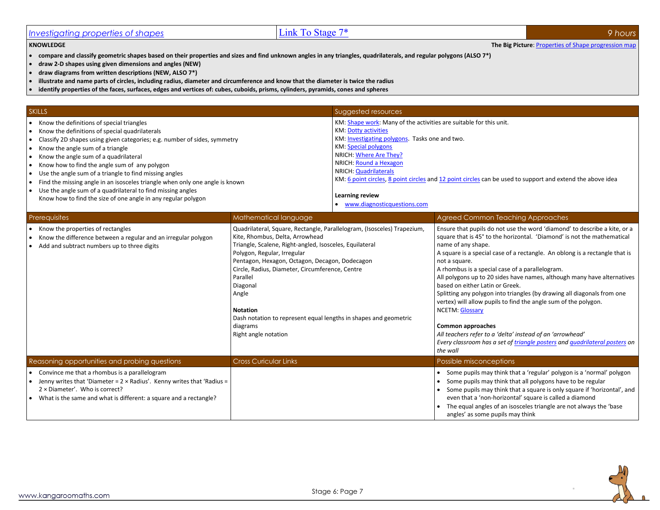# <span id="page-6-0"></span>*[Investigating properties of shapes](file://sweep/teacher$/maths/2014%2015%20Area/Schemes%20of%20Work/KS3/Maths%20Links%20Topics/Stage%206%20investigating%20properties%20of%20shape.xlsx)* [Link To Stage 7\\*](file://sweep/teacher$/maths/Teaching%20Plans%20(Linked)/2017%2018%20Teaching%20Plans%20and%20SOW/Schemes%20Of%20Work/KS3%20Stages/St7%20Star_sow.docx) *9 hours*

- **compare and classify geometric shapes based on their properties and sizes and find unknown angles in any triangles, quadrilaterals, and regular polygons (ALSO 7\*)**
- **draw 2-D shapes using given dimensions and angles (NEW)**
- **draw diagrams from written descriptions (NEW, ALSO 7\*)**
- **illustrate and name parts of circles, including radius, diameter and circumference and know that the diameter is twice the radius**
- **identify properties of the faces, surfaces, edges and vertices of: cubes, cuboids, prisms, cylinders, pyramids, cones and spheres**

| <b>SKILLS</b>                                                                                                                                                                                                                                                                                                                                                                                                                                                                                                                                                                                                             |                                                                                                                                                                                                                                                                                                                                                                                                                                                                       | Suggested resources                                                                                                                                                                                                                                                                                                                                                                                                                    |                                                                                                                                                                                                                                                                                                                                                                                                                                                                                                                                                                                                                                                                                                                                                                                                 |
|---------------------------------------------------------------------------------------------------------------------------------------------------------------------------------------------------------------------------------------------------------------------------------------------------------------------------------------------------------------------------------------------------------------------------------------------------------------------------------------------------------------------------------------------------------------------------------------------------------------------------|-----------------------------------------------------------------------------------------------------------------------------------------------------------------------------------------------------------------------------------------------------------------------------------------------------------------------------------------------------------------------------------------------------------------------------------------------------------------------|----------------------------------------------------------------------------------------------------------------------------------------------------------------------------------------------------------------------------------------------------------------------------------------------------------------------------------------------------------------------------------------------------------------------------------------|-------------------------------------------------------------------------------------------------------------------------------------------------------------------------------------------------------------------------------------------------------------------------------------------------------------------------------------------------------------------------------------------------------------------------------------------------------------------------------------------------------------------------------------------------------------------------------------------------------------------------------------------------------------------------------------------------------------------------------------------------------------------------------------------------|
| • Know the definitions of special triangles<br>Know the definitions of special quadrilaterals<br>Classify 2D shapes using given categories; e.g. number of sides, symmetry<br>$\bullet$<br>Know the angle sum of a triangle<br>$\bullet$<br>Know the angle sum of a quadrilateral<br>Know how to find the angle sum of any polygon<br>Use the angle sum of a triangle to find missing angles<br>$\bullet$<br>Find the missing angle in an isosceles triangle when only one angle is known<br>Use the angle sum of a quadrilateral to find missing angles<br>Know how to find the size of one angle in any regular polygon |                                                                                                                                                                                                                                                                                                                                                                                                                                                                       | KM: Shape work: Many of the activities are suitable for this unit.<br><b>KM: Dotty activities</b><br>KM: Investigating polygons. Tasks one and two.<br><b>KM: Special polygons</b><br>NRICH: Where Are They?<br>NRICH: Round a Hexagon<br><b>NRICH: Quadrilaterals</b><br>KM: 6 point circles, 8 point circles and 12 point circles can be used to support and extend the above idea<br>Learning review<br>www.diagnosticquestions.com |                                                                                                                                                                                                                                                                                                                                                                                                                                                                                                                                                                                                                                                                                                                                                                                                 |
| Prerequisites                                                                                                                                                                                                                                                                                                                                                                                                                                                                                                                                                                                                             | Mathematical language                                                                                                                                                                                                                                                                                                                                                                                                                                                 |                                                                                                                                                                                                                                                                                                                                                                                                                                        | <b>Agreed Common Teaching Approaches</b>                                                                                                                                                                                                                                                                                                                                                                                                                                                                                                                                                                                                                                                                                                                                                        |
| • Know the properties of rectangles<br>Know the difference between a regular and an irregular polygon<br>• Add and subtract numbers up to three digits                                                                                                                                                                                                                                                                                                                                                                                                                                                                    | Quadrilateral, Square, Rectangle, Parallelogram, (Isosceles) Trapezium,<br>Kite, Rhombus, Delta, Arrowhead<br>Triangle, Scalene, Right-angled, Isosceles, Equilateral<br>Polygon, Regular, Irregular<br>Pentagon, Hexagon, Octagon, Decagon, Dodecagon<br>Circle, Radius, Diameter, Circumference, Centre<br>Parallel<br>Diagonal<br>Angle<br><b>Notation</b><br>Dash notation to represent equal lengths in shapes and geometric<br>diagrams<br>Right angle notation |                                                                                                                                                                                                                                                                                                                                                                                                                                        | Ensure that pupils do not use the word 'diamond' to describe a kite, or a<br>square that is 45° to the horizontal. 'Diamond' is not the mathematical<br>name of any shape.<br>A square is a special case of a rectangle. An oblong is a rectangle that is<br>not a square.<br>A rhombus is a special case of a parallelogram.<br>All polygons up to 20 sides have names, although many have alternatives<br>based on either Latin or Greek.<br>Splitting any polygon into triangles (by drawing all diagonals from one<br>vertex) will allow pupils to find the angle sum of the polygon.<br>NCETM: Glossary<br><b>Common approaches</b><br>All teachers refer to a 'delta' instead of an 'arrowhead'<br>Every classroom has a set of triangle posters and quadrilateral posters on<br>the wall |
| Reasoning opportunities and probing questions                                                                                                                                                                                                                                                                                                                                                                                                                                                                                                                                                                             | <b>Cross Curicular Links</b>                                                                                                                                                                                                                                                                                                                                                                                                                                          |                                                                                                                                                                                                                                                                                                                                                                                                                                        | Possible misconceptions                                                                                                                                                                                                                                                                                                                                                                                                                                                                                                                                                                                                                                                                                                                                                                         |
| • Convince me that a rhombus is a parallelogram<br>• Jenny writes that 'Diameter = $2 \times$ Radius'. Kenny writes that 'Radius =                                                                                                                                                                                                                                                                                                                                                                                                                                                                                        |                                                                                                                                                                                                                                                                                                                                                                                                                                                                       |                                                                                                                                                                                                                                                                                                                                                                                                                                        | Some pupils may think that a 'regular' polygon is a 'normal' polygon<br>$\bullet$<br>Some pupils may think that all polygons have to be regular<br>$\bullet$                                                                                                                                                                                                                                                                                                                                                                                                                                                                                                                                                                                                                                    |





**KNOWLEDGE The Big Picture[: Properties of Shape progression map](http://kangaroomaths.com/free_resources/planning/KM_MathematicsProgression_GeometryPropertiesShape.xlsx) The Big Picture: Properties of Shape progression map**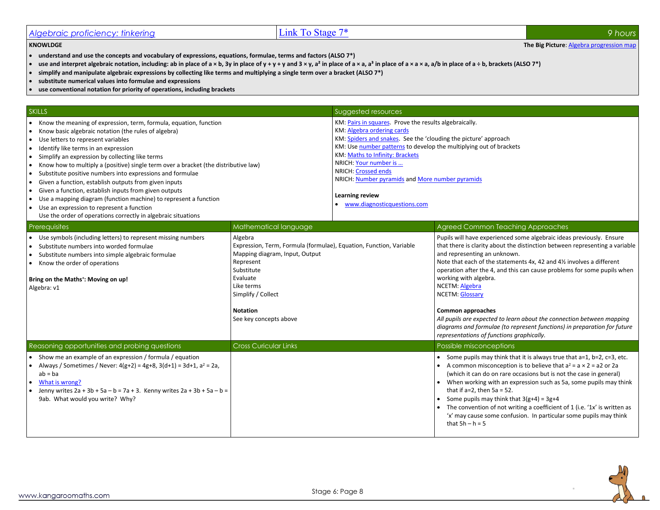# <span id="page-7-0"></span>*Algebraic proficiency: tinkering* [Link To Stage 7\\*](file://sweep/teacher$/maths/Teaching%20Plans%20(Linked)/2017%2018%20Teaching%20Plans%20and%20SOW/Schemes%20Of%20Work/KS3%20Stages/St7%20Star_sow.docx) *9 hours*

### **KNOWLDGE The Big Picture**[: Algebra progression map](http://kangaroomaths.com/free_resources/planning/KM_MathematicsProgression_Algebra.xlsx)

- 
- **understand and use the concepts and vocabulary of expressions, equations, formulae, terms and factors (ALSO 7\*)**
- **use and interpret algebraic notation, including: ab in place of a × b, 3y in place of y + y + y and 3 × y, a² in place of a × a, a³ in place of a × a × a, a/b in place of a ÷ b, brackets (ALSO 7\*)**
- **simplify and manipulate algebraic expressions by collecting like terms and multiplying a single term over a bracket (ALSO 7\*)**
- **substitute numerical values into formulae and expressions**
- **use conventional notation for priority of operations, including brackets**

| <b>SKILLS</b>                                                                                                                                                                                                                                                                                                                                                                                                                                                                                                                                                                                                                                                                                                                                      |                                                                                                                                                                                                                                         | Suggested resources                                                                                                                                                                                                                                                                                                                                                                                                                 |                                                                                                                                                                                                                                                                                                                                                                                                                                                                                                                                                                                                     |
|----------------------------------------------------------------------------------------------------------------------------------------------------------------------------------------------------------------------------------------------------------------------------------------------------------------------------------------------------------------------------------------------------------------------------------------------------------------------------------------------------------------------------------------------------------------------------------------------------------------------------------------------------------------------------------------------------------------------------------------------------|-----------------------------------------------------------------------------------------------------------------------------------------------------------------------------------------------------------------------------------------|-------------------------------------------------------------------------------------------------------------------------------------------------------------------------------------------------------------------------------------------------------------------------------------------------------------------------------------------------------------------------------------------------------------------------------------|-----------------------------------------------------------------------------------------------------------------------------------------------------------------------------------------------------------------------------------------------------------------------------------------------------------------------------------------------------------------------------------------------------------------------------------------------------------------------------------------------------------------------------------------------------------------------------------------------------|
| • Know the meaning of expression, term, formula, equation, function<br>Know basic algebraic notation (the rules of algebra)<br>Use letters to represent variables<br>$\bullet$<br>Identify like terms in an expression<br>$\bullet$<br>• Simplify an expression by collecting like terms<br>Know how to multiply a (positive) single term over a bracket (the distributive law)<br>Substitute positive numbers into expressions and formulae<br>Given a function, establish outputs from given inputs<br>Given a function, establish inputs from given outputs<br>Use a mapping diagram (function machine) to represent a function<br>• Use an expression to represent a function<br>Use the order of operations correctly in algebraic situations |                                                                                                                                                                                                                                         | KM: Pairs in squares. Prove the results algebraically.<br><b>KM: Algebra ordering cards</b><br>KM: Spiders and snakes. See the 'clouding the picture' approach<br>KM: Use number patterns to develop the multiplying out of brackets<br>KM: Maths to Infinity: Brackets<br>NRICH: Your number is<br><b>NRICH: Crossed ends</b><br>NRICH: Number pyramids and More number pyramids<br>Learning review<br>www.diagnosticquestions.com |                                                                                                                                                                                                                                                                                                                                                                                                                                                                                                                                                                                                     |
| Prerequisites                                                                                                                                                                                                                                                                                                                                                                                                                                                                                                                                                                                                                                                                                                                                      | Mathematical language                                                                                                                                                                                                                   |                                                                                                                                                                                                                                                                                                                                                                                                                                     | Agreed Common Teaching Approaches                                                                                                                                                                                                                                                                                                                                                                                                                                                                                                                                                                   |
| • Use symbols (including letters) to represent missing numbers<br>• Substitute numbers into worded formulae<br>• Substitute numbers into simple algebraic formulae<br>• Know the order of operations<br>Bring on the Maths <sup>+</sup> : Moving on up!<br>Algebra: v1                                                                                                                                                                                                                                                                                                                                                                                                                                                                             | Algebra<br>Expression, Term, Formula (formulae), Equation, Function, Variable<br>Mapping diagram, Input, Output<br>Represent<br>Substitute<br>Evaluate<br>Like terms<br>Simplify / Collect<br><b>Notation</b><br>See key concepts above |                                                                                                                                                                                                                                                                                                                                                                                                                                     | Pupils will have experienced some algebraic ideas previously. Ensure<br>that there is clarity about the distinction between representing a variable<br>and representing an unknown.<br>Note that each of the statements 4x, 42 and 41% involves a different<br>operation after the 4, and this can cause problems for some pupils when<br>working with algebra.<br><b>NCETM: Algebra</b><br><b>NCETM: Glossary</b><br><b>Common approaches</b><br>All pupils are expected to learn about the connection between mapping<br>diagrams and formulae (to represent functions) in preparation for future |
|                                                                                                                                                                                                                                                                                                                                                                                                                                                                                                                                                                                                                                                                                                                                                    |                                                                                                                                                                                                                                         |                                                                                                                                                                                                                                                                                                                                                                                                                                     | representations of functions graphically.                                                                                                                                                                                                                                                                                                                                                                                                                                                                                                                                                           |
| Reasoning opportunities and probing questions                                                                                                                                                                                                                                                                                                                                                                                                                                                                                                                                                                                                                                                                                                      | <b>Cross Curicular Links</b>                                                                                                                                                                                                            |                                                                                                                                                                                                                                                                                                                                                                                                                                     | Possible misconceptions                                                                                                                                                                                                                                                                                                                                                                                                                                                                                                                                                                             |
| • Show me an example of an expression / formula / equation<br>• Always / Sometimes / Never: $4(g+2) = 4g+8$ , $3(d+1) = 3d+1$ , $a^2 = 2a$ ,<br>$ab = ba$<br>What is wrong?<br>Jenny writes $2a + 3b + 5a - b = 7a + 3$ . Kenny writes $2a + 3b + 5a - b =$<br>9ab. What would you write? Why?                                                                                                                                                                                                                                                                                                                                                                                                                                                     |                                                                                                                                                                                                                                         |                                                                                                                                                                                                                                                                                                                                                                                                                                     | • Some pupils may think that it is always true that $a=1$ , $b=2$ , $c=3$ , etc.<br>• A common misconception is to believe that $a^2 = a \times 2 = a2$ or 2a<br>(which it can do on rare occasions but is not the case in general)<br>When working with an expression such as 5a, some pupils may think<br>that if $a=2$ , then $5a = 52$ .<br>Some pupils may think that $3(g+4) = 3g+4$<br>$\bullet$<br>• The convention of not writing a coefficient of 1 (i.e. '1x' is written as<br>'x' may cause some confusion. In particular some pupils may think<br>that $5h - h = 5$                    |

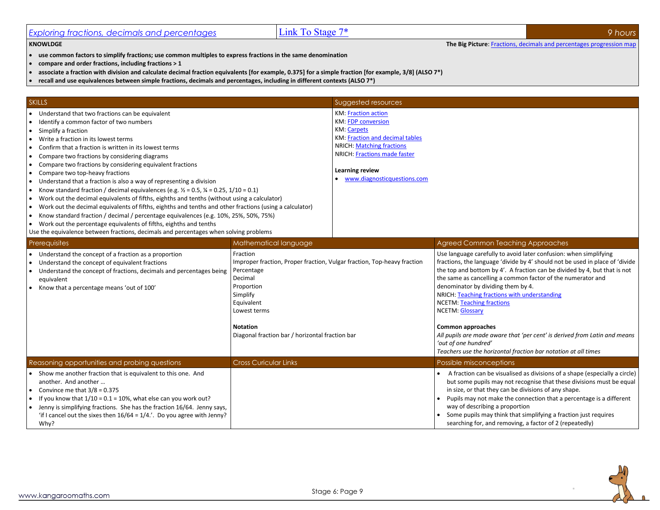<span id="page-8-0"></span>

| Exploring fractions, decimals and percentages                                                                                                                                                                                                                                                                                                                                                                                                                                                                                                                                                                                                                                                                                                                                                                                                                                                                                                                                                                                                                                                                            | Link To Stage 7*                                                                                                                                                     |                                                                                                                                                                                                                                         |                                                                                                                                                                                                                                                                                      | 9 hours                                                                                                                                                                                                                                                                                      |
|--------------------------------------------------------------------------------------------------------------------------------------------------------------------------------------------------------------------------------------------------------------------------------------------------------------------------------------------------------------------------------------------------------------------------------------------------------------------------------------------------------------------------------------------------------------------------------------------------------------------------------------------------------------------------------------------------------------------------------------------------------------------------------------------------------------------------------------------------------------------------------------------------------------------------------------------------------------------------------------------------------------------------------------------------------------------------------------------------------------------------|----------------------------------------------------------------------------------------------------------------------------------------------------------------------|-----------------------------------------------------------------------------------------------------------------------------------------------------------------------------------------------------------------------------------------|--------------------------------------------------------------------------------------------------------------------------------------------------------------------------------------------------------------------------------------------------------------------------------------|----------------------------------------------------------------------------------------------------------------------------------------------------------------------------------------------------------------------------------------------------------------------------------------------|
| <b>KNOWLDGE</b>                                                                                                                                                                                                                                                                                                                                                                                                                                                                                                                                                                                                                                                                                                                                                                                                                                                                                                                                                                                                                                                                                                          |                                                                                                                                                                      |                                                                                                                                                                                                                                         |                                                                                                                                                                                                                                                                                      | The Big Picture: Fractions, decimals and percentages progression map                                                                                                                                                                                                                         |
| use common factors to simplify fractions; use common multiples to express fractions in the same denomination<br>compare and order fractions, including fractions > 1<br>associate a fraction with division and calculate decimal fraction equivalents [for example, 0.375] for a simple fraction [for example, 3/8] (ALSO 7*)<br>recall and use equivalences between simple fractions, decimals and percentages, including in different contexts (ALSO 7*)                                                                                                                                                                                                                                                                                                                                                                                                                                                                                                                                                                                                                                                               |                                                                                                                                                                      |                                                                                                                                                                                                                                         |                                                                                                                                                                                                                                                                                      |                                                                                                                                                                                                                                                                                              |
| <b>SKILLS</b>                                                                                                                                                                                                                                                                                                                                                                                                                                                                                                                                                                                                                                                                                                                                                                                                                                                                                                                                                                                                                                                                                                            |                                                                                                                                                                      | Suggested resources                                                                                                                                                                                                                     |                                                                                                                                                                                                                                                                                      |                                                                                                                                                                                                                                                                                              |
| Understand that two fractions can be equivalent<br>Identify a common factor of two numbers<br>Simplify a fraction<br>• Write a fraction in its lowest terms<br>Confirm that a fraction is written in its lowest terms<br>$\bullet$<br>Compare two fractions by considering diagrams<br>Compare two fractions by considering equivalent fractions<br>$\bullet$<br>Compare two top-heavy fractions<br>$\bullet$<br>Understand that a fraction is also a way of representing a division<br>$\bullet$<br>Know standard fraction / decimal equivalences (e.g. $\frac{1}{2}$ = 0.5, $\frac{1}{4}$ = 0.25, 1/10 = 0.1)<br>$\bullet$<br>Work out the decimal equivalents of fifths, eighths and tenths (without using a calculator)<br>$\bullet$<br>Work out the decimal equivalents of fifths, eighths and tenths and other fractions (using a calculator)<br>$\bullet$<br>Know standard fraction / decimal / percentage equivalences (e.g. 10%, 25%, 50%, 75%)<br>• Work out the percentage equivalents of fifths, eighths and tenths<br>Use the equivalence between fractions, decimals and percentages when solving problems |                                                                                                                                                                      | <b>KM: Fraction action</b><br><b>KM: FDP conversion</b><br><b>KM</b> : Carpets<br>KM: Fraction and decimal tables<br><b>NRICH: Matching fractions</b><br>NRICH: Fractions made faster<br>Learning review<br>www.diagnosticquestions.com |                                                                                                                                                                                                                                                                                      |                                                                                                                                                                                                                                                                                              |
| <b>Prerequisites</b>                                                                                                                                                                                                                                                                                                                                                                                                                                                                                                                                                                                                                                                                                                                                                                                                                                                                                                                                                                                                                                                                                                     | Mathematical language                                                                                                                                                |                                                                                                                                                                                                                                         | Agreed Common Teaching Approaches                                                                                                                                                                                                                                                    |                                                                                                                                                                                                                                                                                              |
| Understand the concept of a fraction as a proportion<br>Understand the concept of equivalent fractions<br>• Understand the concept of fractions, decimals and percentages being<br>equivalent<br>• Know that a percentage means 'out of 100'                                                                                                                                                                                                                                                                                                                                                                                                                                                                                                                                                                                                                                                                                                                                                                                                                                                                             | Fraction<br>Improper fraction, Proper fraction, Vulgar fraction, Top-heavy fraction<br>Percentage<br>Decimal<br>Proportion<br>Simplify<br>Equivalent<br>Lowest terms |                                                                                                                                                                                                                                         | Use language carefully to avoid later confusion: when simplifying<br>the same as cancelling a common factor of the numerator and<br>denominator by dividing them by 4.<br>NRICH: Teaching fractions with understanding<br><b>NCETM: Teaching fractions</b><br><b>NCETM: Glossary</b> | fractions, the language 'divide by 4' should not be used in place of 'divide<br>the top and bottom by 4'. A fraction can be divided by 4, but that is not                                                                                                                                    |
|                                                                                                                                                                                                                                                                                                                                                                                                                                                                                                                                                                                                                                                                                                                                                                                                                                                                                                                                                                                                                                                                                                                          | <b>Notation</b><br>Diagonal fraction bar / horizontal fraction bar                                                                                                   |                                                                                                                                                                                                                                         | <b>Common approaches</b><br>'out of one hundred'<br>Teachers use the horizontal fraction bar notation at all times                                                                                                                                                                   | All pupils are made aware that 'per cent' is derived from Latin and means                                                                                                                                                                                                                    |
| Reasoning opportunities and probing questions                                                                                                                                                                                                                                                                                                                                                                                                                                                                                                                                                                                                                                                                                                                                                                                                                                                                                                                                                                                                                                                                            | <b>Cross Curicular Links</b>                                                                                                                                         |                                                                                                                                                                                                                                         | Possible misconceptions                                                                                                                                                                                                                                                              |                                                                                                                                                                                                                                                                                              |
| Show me another fraction that is equivalent to this one. And<br>another. And another<br>Convince me that $3/8 = 0.375$<br>If you know that $1/10 = 0.1 = 10\%$ , what else can you work out?<br>Jenny is simplifying fractions. She has the fraction 16/64. Jenny says,<br>'if I cancel out the sixes then $16/64 = 1/4$ .'. Do you agree with Jenny?<br>Why?                                                                                                                                                                                                                                                                                                                                                                                                                                                                                                                                                                                                                                                                                                                                                            |                                                                                                                                                                      |                                                                                                                                                                                                                                         | in size, or that they can be divisions of any shape.<br>$\bullet$<br>way of describing a proportion<br>searching for, and removing, a factor of 2 (repeatedly)                                                                                                                       | A fraction can be visualised as divisions of a shape (especially a circle)<br>but some pupils may not recognise that these divisions must be equal<br>Pupils may not make the connection that a percentage is a different<br>Some pupils may think that simplifying a fraction just requires |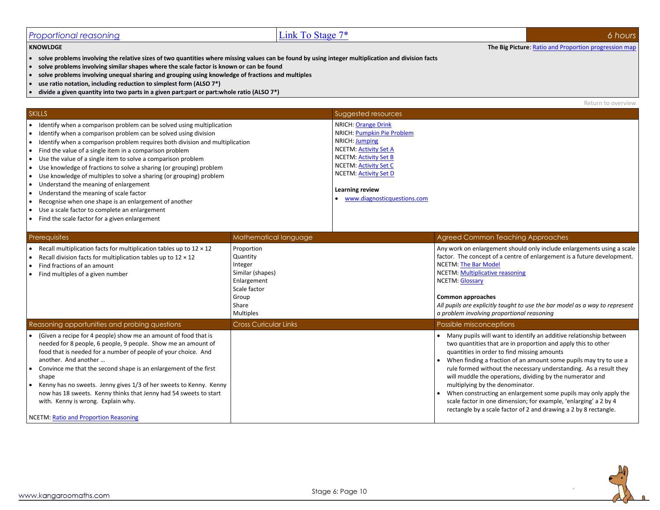# • **solve problems involving the relative sizes of two quantities where missing values can be found by using integer multiplication and division facts** • **solve problems involving similar shapes where the scale factor is known or can be found** • **solve problems involving unequal sharing and grouping using knowledge of fractions and multiples**

- **use ratio notation, including reduction to simplest form (ALSO 7\*)**
- **divide a given quantity into two parts in a given part:part or part:whole ratio (ALSO 7\*)**

| <b>SKILLS</b>                                                                                                                                                                                                                                                                                                                                                                                                                                                                                                                                                                                                                                                                                                                                                                                                                                                                                               |                                                                                                                            | Suggested resources                                                                                                                                                                                                                                            |                                                                                                                                                                                                                                                                                                                                                                                                                                                                                                                                                                                                                                         |
|-------------------------------------------------------------------------------------------------------------------------------------------------------------------------------------------------------------------------------------------------------------------------------------------------------------------------------------------------------------------------------------------------------------------------------------------------------------------------------------------------------------------------------------------------------------------------------------------------------------------------------------------------------------------------------------------------------------------------------------------------------------------------------------------------------------------------------------------------------------------------------------------------------------|----------------------------------------------------------------------------------------------------------------------------|----------------------------------------------------------------------------------------------------------------------------------------------------------------------------------------------------------------------------------------------------------------|-----------------------------------------------------------------------------------------------------------------------------------------------------------------------------------------------------------------------------------------------------------------------------------------------------------------------------------------------------------------------------------------------------------------------------------------------------------------------------------------------------------------------------------------------------------------------------------------------------------------------------------------|
| Identify when a comparison problem can be solved using multiplication<br>$\bullet$<br>Identify when a comparison problem can be solved using division<br>$\bullet$<br>Identify when a comparison problem requires both division and multiplication<br>$\bullet$<br>Find the value of a single item in a comparison problem<br>$\bullet$<br>Use the value of a single item to solve a comparison problem<br>$\bullet$<br>Use knowledge of fractions to solve a sharing (or grouping) problem<br>$\bullet$<br>Use knowledge of multiples to solve a sharing (or grouping) problem<br>$\bullet$<br>Understand the meaning of enlargement<br>$\bullet$<br>Understand the meaning of scale factor<br>$\bullet$<br>Recognise when one shape is an enlargement of another<br>$\bullet$<br>Use a scale factor to complete an enlargement<br>$\bullet$<br>Find the scale factor for a given enlargement<br>$\bullet$ |                                                                                                                            | <b>NRICH: Orange Drink</b><br>NRICH: Pumpkin Pie Problem<br>NRICH: Jumping<br><b>NCETM: Activity Set A</b><br><b>NCETM: Activity Set B</b><br><b>NCETM: Activity Set C</b><br><b>NCETM: Activity Set D</b><br>Learning review<br>• www.diagnosticquestions.com |                                                                                                                                                                                                                                                                                                                                                                                                                                                                                                                                                                                                                                         |
| Prerequisites                                                                                                                                                                                                                                                                                                                                                                                                                                                                                                                                                                                                                                                                                                                                                                                                                                                                                               | Mathematical language                                                                                                      |                                                                                                                                                                                                                                                                | Agreed Common Teaching Approaches                                                                                                                                                                                                                                                                                                                                                                                                                                                                                                                                                                                                       |
| Recall multiplication facts for multiplication tables up to $12 \times 12$<br>Recall division facts for multiplication tables up to $12 \times 12$<br>Find fractions of an amount<br>Find multiples of a given number                                                                                                                                                                                                                                                                                                                                                                                                                                                                                                                                                                                                                                                                                       | Proportion<br>Quantity<br>Integer<br>Similar (shapes)<br>Enlargement<br>Scale factor<br>Group<br>Share<br><b>Multiples</b> |                                                                                                                                                                                                                                                                | Any work on enlargement should only include enlargements using a scale<br>factor. The concept of a centre of enlargement is a future development.<br><b>NCETM: The Bar Model</b><br><b>NCETM: Multiplicative reasoning</b><br><b>NCETM: Glossary</b><br><b>Common approaches</b><br>All pupils are explicitly taught to use the bar model as a way to represent<br>a problem involving proportional reasoning                                                                                                                                                                                                                           |
| Reasoning opportunities and probing questions                                                                                                                                                                                                                                                                                                                                                                                                                                                                                                                                                                                                                                                                                                                                                                                                                                                               | <b>Cross Curicular Links</b>                                                                                               |                                                                                                                                                                                                                                                                | Possible misconceptions                                                                                                                                                                                                                                                                                                                                                                                                                                                                                                                                                                                                                 |
| (Given a recipe for 4 people) show me an amount of food that is<br>needed for 8 people, 6 people, 9 people. Show me an amount of<br>food that is needed for a number of people of your choice. And<br>another. And another<br>Convince me that the second shape is an enlargement of the first<br>shape<br>Kenny has no sweets. Jenny gives 1/3 of her sweets to Kenny. Kenny<br>now has 18 sweets. Kenny thinks that Jenny had 54 sweets to start<br>with. Kenny is wrong. Explain why.<br>NCETM: Ratio and Proportion Reasoning                                                                                                                                                                                                                                                                                                                                                                           |                                                                                                                            |                                                                                                                                                                                                                                                                | Many pupils will want to identify an additive relationship between<br>two quantities that are in proportion and apply this to other<br>quantities in order to find missing amounts<br>When finding a fraction of an amount some pupils may try to use a<br>rule formed without the necessary understanding. As a result they<br>will muddle the operations, dividing by the numerator and<br>multiplying by the denominator.<br>When constructing an enlargement some pupils may only apply the<br>scale factor in one dimension; for example, 'enlarging' a 2 by 4<br>rectangle by a scale factor of 2 and drawing a 2 by 8 rectangle. |

Stage 6: Page 10



Return to overview

<span id="page-9-0"></span>*[Proportional reasoning](file://sweep/teacher$/maths/2014%2015%20Area/Schemes%20of%20Work/KS3/Maths%20Links%20Topics/Stage%206%20Proportional%20Reasoning.xlsx)* [Link To Stage 7\\*](file://sweep/teacher$/maths/Teaching%20Plans%20(Linked)/2017%2018%20Teaching%20Plans%20and%20SOW/Schemes%20Of%20Work/KS3%20Stages/St7%20Star_sow.docx) *6 hours*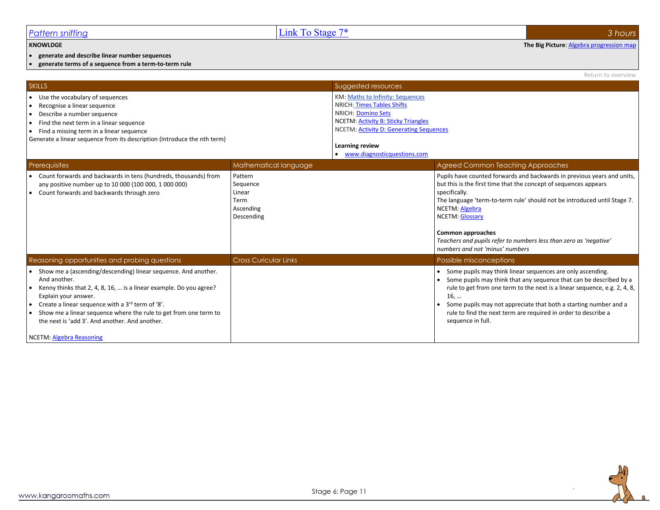<span id="page-10-0"></span>

| <b>Pattern sniffing</b>                                                                                                                                                                                                                                                                                                                                                                     | Link To Stage 7*                                                 |                                                                                                                                                                                                                                                        | 3 hours                                                                                                                                                                                                                                                                                                                                                                                                           |
|---------------------------------------------------------------------------------------------------------------------------------------------------------------------------------------------------------------------------------------------------------------------------------------------------------------------------------------------------------------------------------------------|------------------------------------------------------------------|--------------------------------------------------------------------------------------------------------------------------------------------------------------------------------------------------------------------------------------------------------|-------------------------------------------------------------------------------------------------------------------------------------------------------------------------------------------------------------------------------------------------------------------------------------------------------------------------------------------------------------------------------------------------------------------|
| <b>KNOWLDGE</b><br>generate and describe linear number sequences                                                                                                                                                                                                                                                                                                                            |                                                                  |                                                                                                                                                                                                                                                        | The Big Picture: Algebra progression map                                                                                                                                                                                                                                                                                                                                                                          |
| generate terms of a sequence from a term-to-term rule                                                                                                                                                                                                                                                                                                                                       |                                                                  |                                                                                                                                                                                                                                                        |                                                                                                                                                                                                                                                                                                                                                                                                                   |
|                                                                                                                                                                                                                                                                                                                                                                                             |                                                                  |                                                                                                                                                                                                                                                        | Return to overview                                                                                                                                                                                                                                                                                                                                                                                                |
| <b>SKILLS</b>                                                                                                                                                                                                                                                                                                                                                                               |                                                                  | Suggested resources                                                                                                                                                                                                                                    |                                                                                                                                                                                                                                                                                                                                                                                                                   |
| • Use the vocabulary of sequences<br>Recognise a linear sequence<br>٠<br>Describe a number sequence<br>٠<br>Find the next term in a linear sequence<br>$\bullet$<br>Find a missing term in a linear sequence<br>Generate a linear sequence from its description (Introduce the nth term)                                                                                                    |                                                                  | KM: Maths to Infinity: Sequences<br><b>NRICH: Times Tables Shifts</b><br><b>NRICH: Domino Sets</b><br><b>NCETM: Activity B: Sticky Triangles</b><br><b>NCETM: Activity D: Generating Sequences</b><br>Learning review<br>• www.diagnosticquestions.com |                                                                                                                                                                                                                                                                                                                                                                                                                   |
| Prerequisites                                                                                                                                                                                                                                                                                                                                                                               | Mathematical language                                            |                                                                                                                                                                                                                                                        | Agreed Common Teaching Approaches                                                                                                                                                                                                                                                                                                                                                                                 |
| Count forwards and backwards in tens (hundreds, thousands) from<br>any positive number up to 10 000 (100 000, 1 000 000)<br>Count forwards and backwards through zero                                                                                                                                                                                                                       | Pattern<br>Sequence<br>Linear<br>Term<br>Ascending<br>Descending |                                                                                                                                                                                                                                                        | Pupils have counted forwards and backwards in previous years and units,<br>but this is the first time that the concept of sequences appears<br>specifically.<br>The language 'term-to-term rule' should not be introduced until Stage 7.<br>NCETM: Algebra<br><b>NCETM: Glossary</b><br>Common approaches<br>Teachers and pupils refer to numbers less than zero as 'negative'<br>numbers and not 'minus' numbers |
| Reasoning opportunities and probing questions                                                                                                                                                                                                                                                                                                                                               | <b>Cross Curicular Links</b>                                     |                                                                                                                                                                                                                                                        | Possible misconceptions                                                                                                                                                                                                                                                                                                                                                                                           |
| • Show me a (ascending/descending) linear sequence. And another.<br>And another.<br>Kenny thinks that 2, 4, 8, 16,  is a linear example. Do you agree?<br>Explain your answer.<br>Create a linear sequence with a 3rd term of '8'.<br>Show me a linear sequence where the rule to get from one term to<br>the next is 'add 3'. And another. And another.<br><b>NCETM: Algebra Reasoning</b> |                                                                  |                                                                                                                                                                                                                                                        | • Some pupils may think linear sequences are only ascending.<br>• Some pupils may think that any sequence that can be described by a<br>rule to get from one term to the next is a linear sequence, e.g. 2, 4, 8,<br>16,<br>Some pupils may not appreciate that both a starting number and a<br>rule to find the next term are required in order to describe a<br>sequence in full.                               |

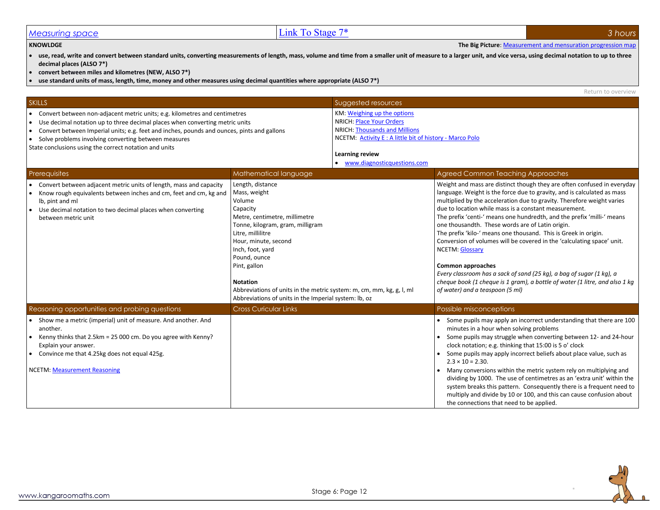### <span id="page-11-0"></span>*[Measuring space](file://sweep/teacher$/maths/2014%2015%20Area/Schemes%20of%20Work/KS3/Maths%20Links%20Topics/Stage%206%20Measuring%20Space.xlsx)* [Link To Stage 7\\*](file://sweep/teacher$/maths/Teaching%20Plans%20(Linked)/2017%2018%20Teaching%20Plans%20and%20SOW/Schemes%20Of%20Work/KS3%20Stages/St7%20Star_sow.docx) *3 hours*

### **KNOWLDGE The Big Picture**[: Measurement and mensuration progression map](http://kangaroomaths.com/free_resources/planning/KM_MathematicsProgression_GeometryMeasurementMensuration.xlsx)

- **use, read, write and convert between standard units, converting measurements of length, mass, volume and time from a smaller unit of measure to a larger unit, and vice versa, using decimal notation to up to three decimal places (ALSO 7\*)**
- **convert between miles and kilometres (NEW, ALSO 7\*)**
- **use standard units of mass, length, time, money and other measures using decimal quantities where appropriate (ALSO 7\*)**

| <b>SKILLS</b>                                                                                                                                                                                                                                                                                                                                                                             |                                                                                                                                                                                                                                                                                                                                                                                  | Suggested resources                                                                                                                                                                                                   |                                                                                                                                                                                                                                                                                                                                                                                                                                                                                                                                                                                                                                                                                                                                                                                                           |
|-------------------------------------------------------------------------------------------------------------------------------------------------------------------------------------------------------------------------------------------------------------------------------------------------------------------------------------------------------------------------------------------|----------------------------------------------------------------------------------------------------------------------------------------------------------------------------------------------------------------------------------------------------------------------------------------------------------------------------------------------------------------------------------|-----------------------------------------------------------------------------------------------------------------------------------------------------------------------------------------------------------------------|-----------------------------------------------------------------------------------------------------------------------------------------------------------------------------------------------------------------------------------------------------------------------------------------------------------------------------------------------------------------------------------------------------------------------------------------------------------------------------------------------------------------------------------------------------------------------------------------------------------------------------------------------------------------------------------------------------------------------------------------------------------------------------------------------------------|
| • Convert between non-adjacent metric units; e.g. kilometres and centimetres<br>Use decimal notation up to three decimal places when converting metric units<br>Convert between Imperial units; e.g. feet and inches, pounds and ounces, pints and gallons<br>$\bullet$<br>Solve problems involving converting between measures<br>State conclusions using the correct notation and units |                                                                                                                                                                                                                                                                                                                                                                                  | KM: Weighing up the options<br><b>NRICH: Place Your Orders</b><br><b>NRICH: Thousands and Millions</b><br>NCETM: Activity E: A little bit of history - Marco Polo<br>Learning review<br>• www.diagnosticquestions.com |                                                                                                                                                                                                                                                                                                                                                                                                                                                                                                                                                                                                                                                                                                                                                                                                           |
| Prerequisites                                                                                                                                                                                                                                                                                                                                                                             | Mathematical language                                                                                                                                                                                                                                                                                                                                                            |                                                                                                                                                                                                                       | Agreed Common Teaching Approaches                                                                                                                                                                                                                                                                                                                                                                                                                                                                                                                                                                                                                                                                                                                                                                         |
| • Convert between adjacent metric units of length, mass and capacity<br>Know rough equivalents between inches and cm, feet and cm, kg and<br>lb, pint and ml<br>Use decimal notation to two decimal places when converting<br>between metric unit                                                                                                                                         | Length, distance<br>Mass, weight<br>Volume<br>Capacity<br>Metre, centimetre, millimetre<br>Tonne, kilogram, gram, milligram<br>Litre, millilitre<br>Hour, minute, second<br>Inch, foot, yard<br>Pound, ounce<br>Pint, gallon<br><b>Notation</b><br>Abbreviations of units in the metric system: m, cm, mm, kg, g, l, ml<br>Abbreviations of units in the Imperial system: lb, oz |                                                                                                                                                                                                                       | Weight and mass are distinct though they are often confused in everyday<br>language. Weight is the force due to gravity, and is calculated as mass<br>multiplied by the acceleration due to gravity. Therefore weight varies<br>due to location while mass is a constant measurement.<br>The prefix 'centi-' means one hundredth, and the prefix 'milli-' means<br>one thousandth. These words are of Latin origin.<br>The prefix 'kilo-' means one thousand. This is Greek in origin.<br>Conversion of volumes will be covered in the 'calculating space' unit.<br>NCETM: Glossary<br><b>Common approaches</b><br>Every classroom has a sack of sand (25 kg), a bag of sugar (1 kg), a<br>cheque book (1 cheque is 1 gram), a bottle of water (1 litre, and also 1 kg<br>of water) and a teaspoon (5 ml) |
| Reasoning opportunities and probing questions                                                                                                                                                                                                                                                                                                                                             | <b>Cross Curicular Links</b>                                                                                                                                                                                                                                                                                                                                                     |                                                                                                                                                                                                                       | Possible misconceptions                                                                                                                                                                                                                                                                                                                                                                                                                                                                                                                                                                                                                                                                                                                                                                                   |
| • Show me a metric (imperial) unit of measure. And another. And<br>another.<br>Kenny thinks that 2.5km = 25 000 cm. Do you agree with Kenny?<br>Explain your answer.<br>Convince me that 4.25kg does not equal 425g.<br><b>NCETM: Measurement Reasoning</b>                                                                                                                               |                                                                                                                                                                                                                                                                                                                                                                                  |                                                                                                                                                                                                                       | • Some pupils may apply an incorrect understanding that there are 100<br>minutes in a hour when solving problems<br>• Some pupils may struggle when converting between 12- and 24-hour<br>clock notation; e.g. thinking that 15:00 is 5 o' clock<br>• Some pupils may apply incorrect beliefs about place value, such as<br>$2.3 \times 10 = 2.30$ .<br>• Many conversions within the metric system rely on multiplying and<br>dividing by 1000. The use of centimetres as an 'extra unit' within the<br>system breaks this pattern. Consequently there is a frequent need to<br>multiply and divide by 10 or 100, and this can cause confusion about<br>the connections that need to be applied.                                                                                                         |

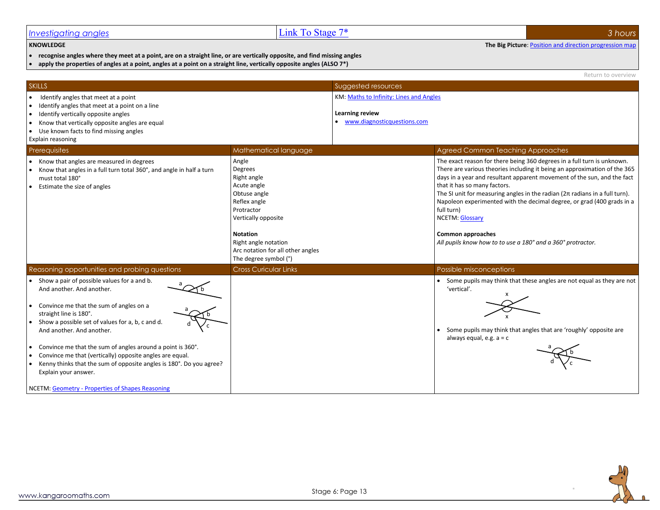# <span id="page-12-0"></span>*[Investigating angles](file://sweep/teacher$/maths/2014%2015%20Area/Schemes%20of%20Work/KS3/Maths%20Links%20Topics/Stage%206%20investigating%20Angles.xlsx)* [Link To Stage 7\\*](file://sweep/teacher$/maths/Teaching%20Plans%20(Linked)/2017%2018%20Teaching%20Plans%20and%20SOW/Schemes%20Of%20Work/KS3%20Stages/St7%20Star_sow.docx) *3 hours*

**KNOWLEDGE The Big Picture**[: Position and direction progression map](http://kangaroomaths.com/free_resources/planning/KM_MathematicsProgression_GeometryPositionDirection.xlsx)

- **recognise angles where they meet at a point, are on a straight line, or are vertically opposite, and find missing angles**
- **apply the properties of angles at a point, angles at a point on a straight line, vertically opposite angles (ALSO 7\*)**

| <b>SKILLS</b>                                                        |                                   | Suggested resources                     |                                                                                         |
|----------------------------------------------------------------------|-----------------------------------|-----------------------------------------|-----------------------------------------------------------------------------------------|
| Identify angles that meet at a point<br>$\bullet$                    |                                   | KM: Maths to Infinity: Lines and Angles |                                                                                         |
| Identify angles that meet at a point on a line                       |                                   |                                         |                                                                                         |
| Identify vertically opposite angles<br>$\bullet$                     |                                   | Learning review                         |                                                                                         |
| Know that vertically opposite angles are equal                       |                                   | www.diagnosticquestions.com             |                                                                                         |
| Use known facts to find missing angles                               |                                   |                                         |                                                                                         |
| Explain reasoning                                                    |                                   |                                         |                                                                                         |
| Prerequisites                                                        | Mathematical language             |                                         | Agreed Common Teaching Approaches                                                       |
| Know that angles are measured in degrees                             | Angle                             |                                         | The exact reason for there being 360 degrees in a full turn is unknown.                 |
| Know that angles in a full turn total 360°, and angle in half a turn | Degrees                           |                                         | There are various theories including it being an approximation of the 365               |
| must total 180°                                                      | Right angle                       |                                         | days in a year and resultant apparent movement of the sun, and the fact                 |
| Estimate the size of angles                                          | Acute angle                       |                                         | that it has so many factors.                                                            |
|                                                                      | Obtuse angle                      |                                         | The SI unit for measuring angles in the radian $(2\pi \text{ radians in a full turn}).$ |
|                                                                      | Reflex angle                      |                                         | Napoleon experimented with the decimal degree, or grad (400 grads in a                  |
|                                                                      | Protractor<br>Vertically opposite |                                         | full turn)<br><b>NCETM: Glossary</b>                                                    |
|                                                                      |                                   |                                         |                                                                                         |
|                                                                      | <b>Notation</b>                   |                                         | <b>Common approaches</b>                                                                |
|                                                                      | Right angle notation              |                                         | All pupils know how to to use a 180° and a 360° protractor.                             |
|                                                                      | Arc notation for all other angles |                                         |                                                                                         |
|                                                                      | The degree symbol (°)             |                                         |                                                                                         |
| Reasoning opportunities and probing questions                        | <b>Cross Curicular Links</b>      |                                         | Possible misconceptions                                                                 |
| Show a pair of possible values for a and b.                          |                                   |                                         | Some pupils may think that these angles are not equal as they are not                   |
| And another. And another.                                            |                                   |                                         | 'vertical'.                                                                             |
|                                                                      |                                   |                                         |                                                                                         |
| Convince me that the sum of angles on a                              |                                   |                                         |                                                                                         |
| straight line is 180°.                                               |                                   |                                         |                                                                                         |
| Show a possible set of values for a, b, c and d.                     |                                   |                                         |                                                                                         |
| And another. And another.                                            |                                   |                                         | Some pupils may think that angles that are 'roughly' opposite are                       |
| Convince me that the sum of angles around a point is 360°.           |                                   |                                         | always equal, e.g. $a = c$                                                              |
| Convince me that (vertically) opposite angles are equal.             |                                   |                                         |                                                                                         |
| Kenny thinks that the sum of opposite angles is 180°. Do you agree?  |                                   |                                         |                                                                                         |
| Explain your answer.                                                 |                                   |                                         |                                                                                         |
|                                                                      |                                   |                                         |                                                                                         |
| NCETM: Geometry - Properties of Shapes Reasoning                     |                                   |                                         |                                                                                         |

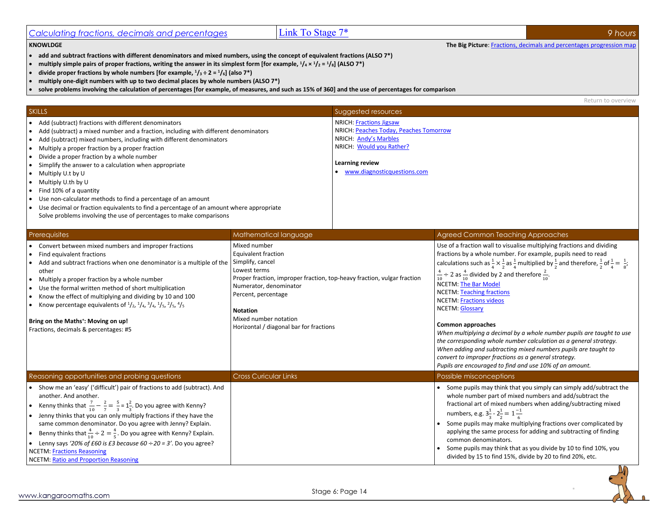<span id="page-13-0"></span>

| <b>Calculating fractions, decimals and percentages</b>                                                                                                                                                                                                                                                                                                                                                                                                                                                                                                                                                                                                                                                                              | Link To Stage 7*                                                                                                                                                                                                                                                                           |                                                                                                                                                                                                        | 9 hours                                                                                                                                                                                                                                                                                                                                                                                                                                                                                                                                                                                                                                                                                                                                                                                                                        |  |
|-------------------------------------------------------------------------------------------------------------------------------------------------------------------------------------------------------------------------------------------------------------------------------------------------------------------------------------------------------------------------------------------------------------------------------------------------------------------------------------------------------------------------------------------------------------------------------------------------------------------------------------------------------------------------------------------------------------------------------------|--------------------------------------------------------------------------------------------------------------------------------------------------------------------------------------------------------------------------------------------------------------------------------------------|--------------------------------------------------------------------------------------------------------------------------------------------------------------------------------------------------------|--------------------------------------------------------------------------------------------------------------------------------------------------------------------------------------------------------------------------------------------------------------------------------------------------------------------------------------------------------------------------------------------------------------------------------------------------------------------------------------------------------------------------------------------------------------------------------------------------------------------------------------------------------------------------------------------------------------------------------------------------------------------------------------------------------------------------------|--|
|                                                                                                                                                                                                                                                                                                                                                                                                                                                                                                                                                                                                                                                                                                                                     |                                                                                                                                                                                                                                                                                            |                                                                                                                                                                                                        |                                                                                                                                                                                                                                                                                                                                                                                                                                                                                                                                                                                                                                                                                                                                                                                                                                |  |
| <b>KNOWLDGE</b><br>The Big Picture: Fractions, decimals and percentages progression map<br>add and subtract fractions with different denominators and mixed numbers, using the concept of equivalent fractions (ALSO 7*)<br>multiply simple pairs of proper fractions, writing the answer in its simplest form [for example, $1/4 \times 1/2 = 1/8$ ] (ALSO 7*)<br>divide proper fractions by whole numbers [for example, $\frac{1}{3}$ + 2 = $\frac{1}{6}$ ] (also 7 <sup>*</sup> )<br>multiply one-digit numbers with up to two decimal places by whole numbers (ALSO 7*)<br>solve problems involving the calculation of percentages [for example, of measures, and such as 15% of 360] and the use of percentages for comparison |                                                                                                                                                                                                                                                                                            |                                                                                                                                                                                                        |                                                                                                                                                                                                                                                                                                                                                                                                                                                                                                                                                                                                                                                                                                                                                                                                                                |  |
|                                                                                                                                                                                                                                                                                                                                                                                                                                                                                                                                                                                                                                                                                                                                     |                                                                                                                                                                                                                                                                                            |                                                                                                                                                                                                        | Return to overview                                                                                                                                                                                                                                                                                                                                                                                                                                                                                                                                                                                                                                                                                                                                                                                                             |  |
| <b>SKILLS</b><br>• Add (subtract) fractions with different denominators<br>Add (subtract) a mixed number and a fraction, including with different denominators<br>Add (subtract) mixed numbers, including with different denominators<br>Multiply a proper fraction by a proper fraction<br>$\bullet$<br>Divide a proper fraction by a whole number<br>Simplify the answer to a calculation when appropriate<br>Multiply U.t by U<br>$\bullet$<br>Multiply U.th by U<br>Find 10% of a quantity<br>Use non-calculator methods to find a percentage of an amount<br>Use decimal or fraction equivalents to find a percentage of an amount where appropriate<br>Solve problems involving the use of percentages to make comparisons    |                                                                                                                                                                                                                                                                                            | Suggested resources<br><b>NRICH: Fractions Jigsaw</b><br>NRICH: Peaches Today, Peaches Tomorrow<br>NRICH: Andy's Marbles<br>NRICH: Would you Rather?<br>Learning review<br>www.diagnosticquestions.com |                                                                                                                                                                                                                                                                                                                                                                                                                                                                                                                                                                                                                                                                                                                                                                                                                                |  |
| Prerequisites                                                                                                                                                                                                                                                                                                                                                                                                                                                                                                                                                                                                                                                                                                                       | Mathematical language                                                                                                                                                                                                                                                                      |                                                                                                                                                                                                        | Agreed Common Teaching Approaches                                                                                                                                                                                                                                                                                                                                                                                                                                                                                                                                                                                                                                                                                                                                                                                              |  |
| Convert between mixed numbers and improper fractions<br>Find equivalent fractions<br>Add and subtract fractions when one denominator is a multiple of the<br>other<br>Multiply a proper fraction by a whole number<br>Use the formal written method of short multiplication<br>Know the effect of multiplying and dividing by 10 and 100<br>Know percentage equivalents of $\frac{1}{2}$ , $\frac{1}{4}$ , $\frac{3}{4}$ , $\frac{1}{5}$ , $\frac{2}{5}$ , $\frac{4}{5}$<br>Bring on the Maths <sup>+</sup> : Moving on up!<br>Fractions, decimals & percentages: #5                                                                                                                                                                | Mixed number<br>Equivalent fraction<br>Simplify, cancel<br>Lowest terms<br>Proper fraction, improper fraction, top-heavy fraction, vulgar fraction<br>Numerator, denominator<br>Percent, percentage<br><b>Notation</b><br>Mixed number notation<br>Horizontal / diagonal bar for fractions |                                                                                                                                                                                                        | Use of a fraction wall to visualise multiplying fractions and dividing<br>fractions by a whole number. For example, pupils need to read<br>calculations such as $\frac{1}{4} \times \frac{1}{2}$ as $\frac{1}{4}$ multiplied by $\frac{1}{2}$ and therefore, $\frac{1}{2}$ of $\frac{1}{4} = \frac{1}{8}$ ;<br>$\frac{4}{10} \div 2$ as $\frac{4}{10}$ divided by 2 and therefore $\frac{2}{10}$ .<br>NCETM: The Bar Model<br><b>NCETM: Teaching fractions</b><br><b>NCETM: Fractions videos</b><br><b>NCETM: Glossary</b><br><b>Common approaches</b><br>When multiplying a decimal by a whole number pupils are taught to use<br>the corresponding whole number calculation as a general strategy.<br>When adding and subtracting mixed numbers pupils are taught to<br>convert to improper fractions as a general strategy. |  |
| Reasoning opportunities and probing questions                                                                                                                                                                                                                                                                                                                                                                                                                                                                                                                                                                                                                                                                                       | <b>Cross Curicular Links</b>                                                                                                                                                                                                                                                               |                                                                                                                                                                                                        | Pupils are encouraged to find and use 10% of an amount.<br>Possible misconceptions                                                                                                                                                                                                                                                                                                                                                                                                                                                                                                                                                                                                                                                                                                                                             |  |
| • Show me an 'easy' ('difficult') pair of fractions to add (subtract). And<br>another. And another.<br>Kenny thinks that $\frac{7}{10} - \frac{2}{7} = \frac{5}{3} = 1\frac{2}{3}$ . Do you agree with Kenny?<br>• Jenny thinks that you can only multiply fractions if they have the<br>same common denominator. Do you agree with Jenny? Explain.<br>Benny thinks that $\frac{4}{10} \div 2 = \frac{4}{5}$ . Do you agree with Kenny? Explain.<br>• Lenny says '20% of £60 is £3 because $60 \div 20 = 3'$ . Do you agree?<br><b>NCETM: Fractions Reasoning</b><br><b>NCETM: Ratio and Proportion Reasoning</b>                                                                                                                   |                                                                                                                                                                                                                                                                                            |                                                                                                                                                                                                        | • Some pupils may think that you simply can simply add/subtract the<br>whole number part of mixed numbers and add/subtract the<br>fractional art of mixed numbers when adding/subtracting mixed<br>numbers, e.g. $3\frac{1}{2}$ - $2\frac{1}{2}$ = $1\frac{-1}{6}$<br>Some pupils may make multiplying fractions over complicated by<br>applying the same process for adding and subtracting of finding<br>common denominators.<br>Some pupils may think that as you divide by 10 to find 10%, you<br>٠<br>divided by 15 to find 15%, divide by 20 to find 20%, etc.                                                                                                                                                                                                                                                           |  |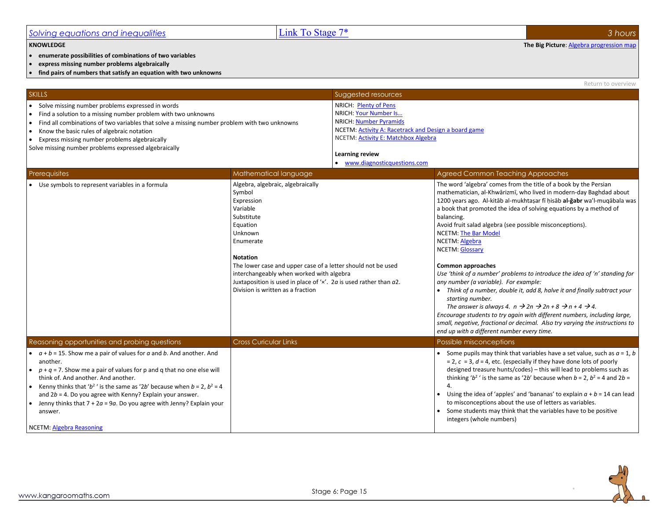### <span id="page-14-0"></span>*[Solving equations and inequalities](file://sweep/teacher$/maths/2014%2015%20Area/Schemes%20of%20Work/KS3/Maths%20Links%20Topics/Stage%206%20Solving%20Equations%20and%20Inequalities.xlsx)* [Link To Stage 7\\*](file://sweep/teacher$/maths/Teaching%20Plans%20(Linked)/2017%2018%20Teaching%20Plans%20and%20SOW/Schemes%20Of%20Work/KS3%20Stages/St7%20Star_sow.docx) *3 hours* **KNOWLEDGE The Big Picture**[: Algebra progression map](http://kangaroomaths.com/free_resources/planning/KM_MathematicsProgression_Algebra.xlsx) • **enumerate possibilities of combinations of two variables** • **express missing number problems algebraically** • **find pairs of numbers that satisfy an equation with two unknowns** Return to overview **SKILLS** SULLER SUGGESTED RESOURCES AND LOCAL CONTINUES OF THE SUGGESTED RESOURCES SUGGESTED FOR SUGGESTED RESOURCES • Solve missing number problems expressed in words • Find a solution to a missing number problem with two unknowns • Find all combinations of two variables that solve a missing number problem with two unknowns • Know the basic rules of algebraic notation • Express missing number problems algebraically Solve missing number problems expressed algebraically NRICH: [Plenty of Pens](https://nrich.maths.org/1117) NRICH[: Your Number Is…](http://nrich.maths.org/2289) NRICH[: Number Pyramids](http://nrich.maths.org/2281) NCETM[: Activity A: Racetrack and Design a board game](https://www.ncetm.org.uk/resources/42893) NCETM[: Activity E: Matchbox Algebra](https://www.ncetm.org.uk/resources/42893) **Learning review** • [www.diagnosticquestions.com](http://www.diagnosticquestions.com/) Prerequisites **Mathematical language Agreed Common Teaching Approaches** Agreed Common Teaching Approaches • Use symbols to represent variables in a formula Algebra, algebra, algebraic, algebraically Symbol Expression Variable Substitute Equation Unknown Enumerate **Notation** The lower case and upper case of a letter should not be used interchangeably when worked with algebra Juxtaposition is used in place of '×'. 2*a* is used rather than *a*2. Division is written as a fraction The word 'algebra' comes from the title of a book by the Persian mathematician, al-Khwārizmī, who lived in modern-day Baghdad about 1200 years ago. Al-kitāb al-mukhtaṣar fī ḥisāb **al-ğabr** wa'l-muqābala was a book that promoted the idea of solving equations by a method of balancing. Avoid fruit salad algebra (see possible misconceptions). NCETM[: The Bar Model](https://www.ncetm.org.uk/resources/44567) NCETM[: Algebra](https://www.ncetm.org.uk/resources/43649) NCETM[: Glossary](https://www.ncetm.org.uk/public/files/17308038/National+Curriculum+Glossary.pdf) **Common approaches** *Use 'think of a number' problems to introduce the idea of 'n' standing for any number (a variable). For example:* • *Think of a number, double it, add 8, halve it and finally subtract your starting number. The answer is always 4. n*  $\rightarrow$  2n  $\rightarrow$  2n + 8  $\rightarrow$  n + 4  $\rightarrow$  4. *Encourage students to try again with different numbers, including large, small, negative, fractional or decimal. Also try varying the instructions to end up with a different number every time.* Reasoning opportunities and probing questions **Cross Curicular Links** Possible misconceptions **Possible misconceptions** • *a* + *b* = 15. Show me a pair of values for *a* and *b*. And another. And another.  $p + q = 7$ . Show me a pair of values for p and q that no one else will think of. And another. And another. • Kenny thinks that ' $b^2$ ' is the same as '2*b*' because when  $b = 2$ ,  $b^2 = 4$ and 2*b* = 4. Do you agree with Kenny? Explain your answer. • Jenny thinks that 7 + 2*a* = 9*a*. Do you agree with Jenny? Explain your answer. NCETM[: Algebra](https://www.ncetm.org.uk/public/files/18416474/6_Progression_Map_Algebra_Reasoning.pdf) Reasoning Some pupils may think that variables have a set value, such as  $a = 1$ , *b* = 2, *c* = 3, *d* = 4, etc. (especially if they have done lots of poorly designed treasure hunts/codes) – this will lead to problems such as thinking ' $b^2$ ' is the same as '2*b*' because when  $b = 2$ ,  $b^2 = 4$  and  $2b = 1$ 4. Using the idea of 'apples' and 'bananas' to explain  $a + b = 14$  can lead to misconceptions about the use of letters as variables. • Some students may think that the variables have to be positive integers (whole numbers)

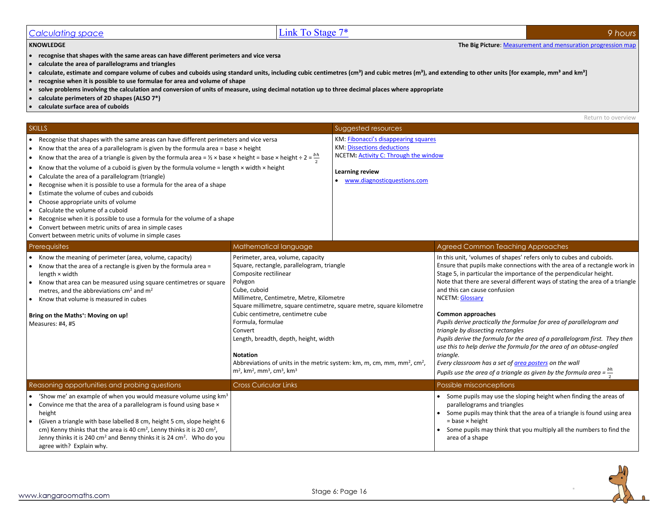### <span id="page-15-0"></span>*[Calculating space](file://sweep/teacher$/maths/2014%2015%20Area/Schemes%20of%20Work/KS3/Maths%20Links%20Topics/Stage%206%20Calculating%20Space.xlsx)* [Link To Stage 7\\*](file://sweep/teacher$/maths/Teaching%20Plans%20(Linked)/2017%2018%20Teaching%20Plans%20and%20SOW/Schemes%20Of%20Work/KS3%20Stages/St7%20Star_sow.docx) *9 hours*

### **KNOWLEDGE The Big Picture[: Measurement and mensuration progression map](http://kangaroomaths.com/free_resources/planning/KM_MathematicsProgression_GeometryMeasurementMensuration.xlsx)**

- **recognise that shapes with the same areas can have different perimeters and vice versa**
- **calculate the area of parallelograms and triangles**
- calculate, estimate and compare volume of cubes and cuboids using standard units, including cubic centimetres (cm<sup>3</sup>) and cubic metres (m<sup>3</sup>), and extending to other units [for example, mm<sup>3</sup> and km<sup>3</sup>]
- **recognise when it is possible to use formulae for area and volume of shape**
- **solve problems involving the calculation and conversion of units of measure, using decimal notation up to three decimal places where appropriate**
- **calculate perimeters of 2D shapes (ALSO 7\*)**
- **calculate surface area of cuboids**

| <b>SKILLS</b>                                                                                                                                                                                                                                                                                                                                                                                                                                                                                                                                                                                                                                                                                                                                                                                                                                                                                                                                                                                                                                 |                                                                                                                                                                                                                                                                                                                                                                                                                                                                                                                                                                           | Suggested resources                                                                                                                                                  |                                                                                                                                                                                                                                                                                                                                                                                                                                                                                                                                                                                                                                                                                                                                                                                                                         |
|-----------------------------------------------------------------------------------------------------------------------------------------------------------------------------------------------------------------------------------------------------------------------------------------------------------------------------------------------------------------------------------------------------------------------------------------------------------------------------------------------------------------------------------------------------------------------------------------------------------------------------------------------------------------------------------------------------------------------------------------------------------------------------------------------------------------------------------------------------------------------------------------------------------------------------------------------------------------------------------------------------------------------------------------------|---------------------------------------------------------------------------------------------------------------------------------------------------------------------------------------------------------------------------------------------------------------------------------------------------------------------------------------------------------------------------------------------------------------------------------------------------------------------------------------------------------------------------------------------------------------------------|----------------------------------------------------------------------------------------------------------------------------------------------------------------------|-------------------------------------------------------------------------------------------------------------------------------------------------------------------------------------------------------------------------------------------------------------------------------------------------------------------------------------------------------------------------------------------------------------------------------------------------------------------------------------------------------------------------------------------------------------------------------------------------------------------------------------------------------------------------------------------------------------------------------------------------------------------------------------------------------------------------|
| Recognise that shapes with the same areas can have different perimeters and vice versa<br>$\bullet$<br>Know that the area of a parallelogram is given by the formula area = base $\times$ height<br>$\bullet$<br>Know that the area of a triangle is given by the formula area = $\frac{1}{2} \times$ base $\times$ height = base $\times$ height ÷ 2 = $\frac{bh}{2}$<br>$\bullet$<br>Know that the volume of a cuboid is given by the formula volume = length $\times$ width $\times$ height<br>$\bullet$<br>Calculate the area of a parallelogram (triangle)<br>$\bullet$<br>Recognise when it is possible to use a formula for the area of a shape<br>$\bullet$<br>Estimate the volume of cubes and cuboids<br>$\bullet$<br>Choose appropriate units of volume<br>$\bullet$<br>Calculate the volume of a cuboid<br>$\bullet$<br>Recognise when it is possible to use a formula for the volume of a shape<br>$\bullet$<br>• Convert between metric units of area in simple cases<br>Convert between metric units of volume in simple cases |                                                                                                                                                                                                                                                                                                                                                                                                                                                                                                                                                                           | KM: Fibonacci's disappearing squares<br><b>KM: Dissections deductions</b><br>NCETM: Activity C: Through the window<br>Learning review<br>www.diagnosticquestions.com |                                                                                                                                                                                                                                                                                                                                                                                                                                                                                                                                                                                                                                                                                                                                                                                                                         |
| <b>Prerequisites</b>                                                                                                                                                                                                                                                                                                                                                                                                                                                                                                                                                                                                                                                                                                                                                                                                                                                                                                                                                                                                                          | Mathematical language                                                                                                                                                                                                                                                                                                                                                                                                                                                                                                                                                     |                                                                                                                                                                      | Agreed Common Teaching Approaches                                                                                                                                                                                                                                                                                                                                                                                                                                                                                                                                                                                                                                                                                                                                                                                       |
| • Know the meaning of perimeter (area, volume, capacity)<br>Know that the area of a rectangle is given by the formula area =<br>$\bullet$<br>length $\times$ width<br>Know that area can be measured using square centimetres or square<br>$\bullet$<br>metres, and the abbreviations cm <sup>2</sup> and m <sup>2</sup><br>Know that volume is measured in cubes<br>Bring on the Maths <sup>+</sup> : Moving on up!<br>Measures: #4, #5                                                                                                                                                                                                                                                                                                                                                                                                                                                                                                                                                                                                      | Perimeter, area, volume, capacity<br>Square, rectangle, parallelogram, triangle<br>Composite rectilinear<br>Polygon<br>Cube, cuboid<br>Millimetre, Centimetre, Metre, Kilometre<br>Square millimetre, square centimetre, square metre, square kilometre<br>Cubic centimetre, centimetre cube<br>Formula, formulae<br>Convert<br>Length, breadth, depth, height, width<br><b>Notation</b><br>Abbreviations of units in the metric system: km, m, cm, mm, mm <sup>2</sup> , cm <sup>2</sup><br>$m2$ , km <sup>2</sup> , mm <sup>3</sup> , cm <sup>3</sup> , km <sup>3</sup> |                                                                                                                                                                      | In this unit, 'volumes of shapes' refers only to cubes and cuboids.<br>Ensure that pupils make connections with the area of a rectangle work in<br>Stage 5, in particular the importance of the perpendicular height.<br>Note that there are several different ways of stating the area of a triangle<br>and this can cause confusion<br><b>NCETM: Glossary</b><br><b>Common approaches</b><br>Pupils derive practically the formulae for area of parallelogram and<br>triangle by dissecting rectangles<br>Pupils derive the formula for the area of a parallelogram first. They then<br>use this to help derive the formula for the area of an obtuse-angled<br>triangle.<br>Every classroom has a set of area posters on the wall<br>Pupils use the area of a triangle as given by the formula area = $\frac{bh}{a}$ |
| Reasoning opportunities and probing questions                                                                                                                                                                                                                                                                                                                                                                                                                                                                                                                                                                                                                                                                                                                                                                                                                                                                                                                                                                                                 | <b>Cross Curicular Links</b>                                                                                                                                                                                                                                                                                                                                                                                                                                                                                                                                              |                                                                                                                                                                      | Possible misconceptions                                                                                                                                                                                                                                                                                                                                                                                                                                                                                                                                                                                                                                                                                                                                                                                                 |
| 'Show me' an example of when you would measure volume using km <sup>3</sup><br>Convince me that the area of a parallelogram is found using base x<br>height<br>(Given a triangle with base labelled 8 cm, height 5 cm, slope height 6<br>$\bullet$<br>cm) Kenny thinks that the area is 40 cm <sup>2</sup> , Lenny thinks it is 20 cm <sup>2</sup> ,<br>Jenny thinks it is 240 cm <sup>2</sup> and Benny thinks it is 24 cm <sup>2</sup> . Who do you<br>agree with? Explain why.                                                                                                                                                                                                                                                                                                                                                                                                                                                                                                                                                             |                                                                                                                                                                                                                                                                                                                                                                                                                                                                                                                                                                           |                                                                                                                                                                      | Some pupils may use the sloping height when finding the areas of<br>parallelograms and triangles<br>Some pupils may think that the area of a triangle is found using area<br>$\bullet$<br>$=$ base $\times$ height<br>Some pupils may think that you multiply all the numbers to find the<br>area of a shape                                                                                                                                                                                                                                                                                                                                                                                                                                                                                                            |

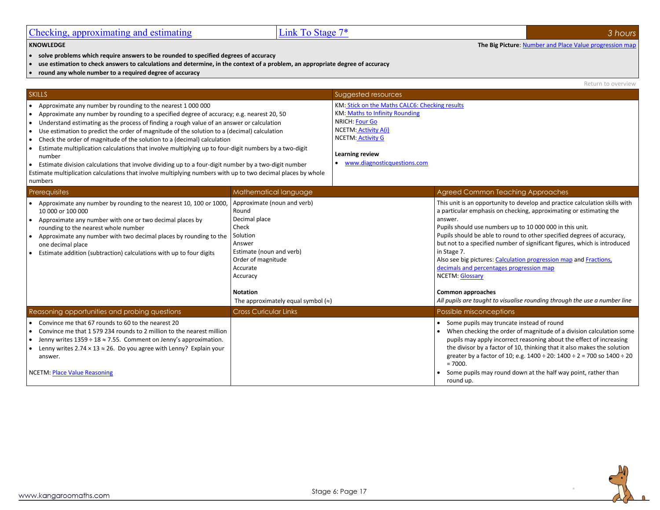### <span id="page-16-0"></span>Checking, approximating and estimating [Link To Stage 7\\*](file://sweep/teacher$/maths/Teaching%20Plans%20(Linked)/2017%2018%20Teaching%20Plans%20and%20SOW/Schemes%20Of%20Work/KS3%20Stages/St7%20Star_sow.docx) *3 hours*

### **KNOWLEDGE The Big Picture**[: Number and Place Value progression map](http://kangaroomaths.com/free_resources/planning/KM_MathematicsProgression_NumberPlaceValue.xlsx)

- **solve problems which require answers to be rounded to specified degrees of accuracy**
- **use estimation to check answers to calculations and determine, in the context of a problem, an appropriate degree of accuracy**
- **round any whole number to a required degree of accuracy**

**SKILLS** SULLER SUGGESTED RESOURCES AND LOCAL CONTINUES OF THE SUGGESTED RESOURCES SUGGESTED FOR SUGGESTED RESOURCES • Approximate any number by rounding to the nearest 1 000 000 • Approximate any number by rounding to a specified degree of accuracy; e.g. nearest 20, 50 • Understand estimating as the process of finding a rough value of an answer or calculation • Use estimation to predict the order of magnitude of the solution to a (decimal) calculation • Check the order of magnitude of the solution to a (decimal) calculation • Estimate multiplication calculations that involve multiplying up to four-digit numbers by a two-digit number • Estimate division calculations that involve dividing up to a four-digit number by a two-digit number Estimate multiplication calculations that involve multiplying numbers with up to two decimal places by whole numbers KM: [Stick on the Maths CALC6: Checking results](http://www.kangaroomaths.com/free_resources/teaching/sotm/level4/4calc6_ewb.doc) KM: [Maths to Infinity Rounding](http://www.kangaroomaths.com/free_resources/infinity/rounding.xlsm) NRICH[: Four Go](http://nrich.maths.org/5633) NCETM: [Activity A\(i\)](https://www.ncetm.org.uk/resources/42506) NCETM: [Activity G](https://www.ncetm.org.uk/resources/42612) **Learning review** • [www.diagnosticquestions.com](http://www.diagnosticquestions.com/) Prerequisites Mathematical language Agreed Common Teaching Approaches Agreed Common Teaching Approaches • Approximate any number by rounding to the nearest 10, 100 or 1000, 10 000 or 100 000 • Approximate any number with one or two decimal places by rounding to the nearest whole number • Approximate any number with two decimal places by rounding to the one decimal place • Estimate addition (subtraction) calculations with up to four digits Approximate (noun and verb) Round Decimal place Check Solution Answer Estimate (noun and verb) Order of magnitude Accurate Accuracy **Notation** The approximately equal symbol  $(\approx)$ This unit is an opportunity to develop and practice calculation skills with a particular emphasis on checking, approximating or estimating the answer. Pupils should use numbers up to 10 000 000 in this unit. Pupils should be able to round to other specified degrees of accuracy, but not to a specified number of significant figures, which is introduced in Stage 7. Also see big pictures: [Calculation progression map](http://kangaroomaths.com/free_resources/planning/KM_MathematicsProgression_NumberCalculation.xlsx) and [Fractions,](http://kangaroomaths.com/free_resources/planning/KM_MathematicsProgression_NumberFDP.xlsx)  [decimals and percentages progression map](http://kangaroomaths.com/free_resources/planning/KM_MathematicsProgression_NumberFDP.xlsx) NCETM[: Glossary](https://www.ncetm.org.uk/public/files/17308038/National+Curriculum+Glossary.pdf) **Common approaches** *All pupils are taught to visualise rounding through the use a number line* Reasoning opportunities and probing questions **Cross Curicular Links** Possible misconceptions **Possible misconceptions** • Convince me that 67 rounds to 60 to the nearest 20 • Convince me that 1 579 234 rounds to 2 million to the nearest million • Jenny writes  $1359 \div 18 \approx 7.55$ . Comment on Jenny's approximation. • Lenny writes  $2.74 \times 13 \approx 26$ . Do you agree with Lenny? Explain your answer. NCETM[: Place Value Reasoning](https://www.ncetm.org.uk/public/files/18416215/1_Progression_Map_Place_Value_Reasoning.pdf) • Some pupils may truncate instead of round • When checking the order of magnitude of a division calculation some pupils may apply incorrect reasoning about the effect of increasing the divisor by a factor of 10, thinking that it also makes the solution greater by a factor of 10; e.g.  $1400 \div 20$ :  $1400 \div 2 = 700$  so  $1400 \div 20$ = 7000. Some pupils may round down at the half way point, rather than round up.

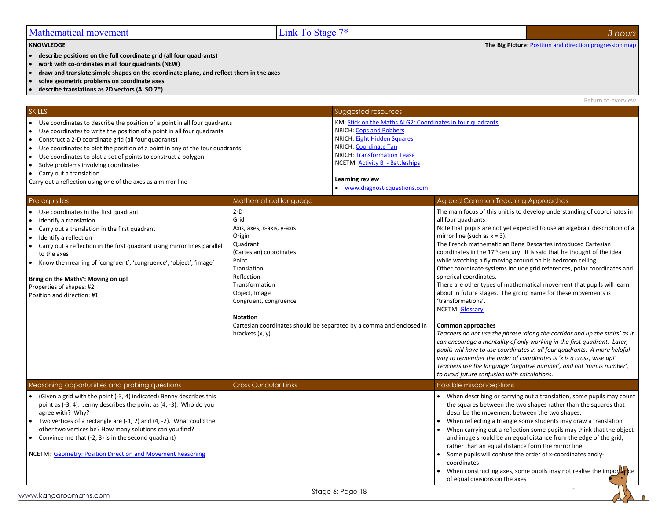## <span id="page-17-0"></span>Mathematical movement 3<sup>3</sup> hours

### **KNOWLEDGE The Big Picture**[: Position and direction progression map](http://kangaroomaths.com/free_resources/planning/KM_MathematicsProgression_GeometryPositionDirection.xlsx)

- **describe positions on the full coordinate grid (all four quadrants)**
- **work with co-ordinates in all four quadrants (NEW)**
- **draw and translate simple shapes on the coordinate plane, and reflect them in the axes**
- **solve geometric problems on coordinate axes**
- **describe translations as 2D vectors (ALSO 7\*)**

Return to overview

 $\sqrt{ }$ 

| <b>SKILLS</b>                                                                                                                                                                                                                                                                                                                                                                                                                                                                                                                                                        |                                                                                                                                                                                                                                                                                                                | Suggested resources                                                                                                                                                                                                                                                                      |                                                                                                                                                                                                                                                                                                                                                                                                                                                                                                                                                                                                                                                                                                                                                                                                                                                                                                                                                                                                                                                                                                                                                                                                         |
|----------------------------------------------------------------------------------------------------------------------------------------------------------------------------------------------------------------------------------------------------------------------------------------------------------------------------------------------------------------------------------------------------------------------------------------------------------------------------------------------------------------------------------------------------------------------|----------------------------------------------------------------------------------------------------------------------------------------------------------------------------------------------------------------------------------------------------------------------------------------------------------------|------------------------------------------------------------------------------------------------------------------------------------------------------------------------------------------------------------------------------------------------------------------------------------------|---------------------------------------------------------------------------------------------------------------------------------------------------------------------------------------------------------------------------------------------------------------------------------------------------------------------------------------------------------------------------------------------------------------------------------------------------------------------------------------------------------------------------------------------------------------------------------------------------------------------------------------------------------------------------------------------------------------------------------------------------------------------------------------------------------------------------------------------------------------------------------------------------------------------------------------------------------------------------------------------------------------------------------------------------------------------------------------------------------------------------------------------------------------------------------------------------------|
| Use coordinates to describe the position of a point in all four quadrants<br>$\bullet$<br>Use coordinates to write the position of a point in all four quadrants<br>Construct a 2-D coordinate grid (all four quadrants)<br>$\bullet$<br>Use coordinates to plot the position of a point in any of the four quadrants<br>$\bullet$<br>Use coordinates to plot a set of points to construct a polygon<br>$\bullet$<br>Solve problems involving coordinates<br>$\bullet$<br>• Carry out a translation<br>Carry out a reflection using one of the axes as a mirror line |                                                                                                                                                                                                                                                                                                                | KM: Stick on the Maths ALG2: Coordinates in four quadrants<br><b>NRICH: Cops and Robbers</b><br><b>NRICH: Eight Hidden Squares</b><br>NRICH: Coordinate Tan<br><b>NRICH: Transformation Tease</b><br>NCETM: Activity B - Battleships<br>Learning review<br>• www.diagnosticquestions.com |                                                                                                                                                                                                                                                                                                                                                                                                                                                                                                                                                                                                                                                                                                                                                                                                                                                                                                                                                                                                                                                                                                                                                                                                         |
| Prerequisites                                                                                                                                                                                                                                                                                                                                                                                                                                                                                                                                                        | Mathematical language                                                                                                                                                                                                                                                                                          |                                                                                                                                                                                                                                                                                          | Agreed Common Teaching Approaches                                                                                                                                                                                                                                                                                                                                                                                                                                                                                                                                                                                                                                                                                                                                                                                                                                                                                                                                                                                                                                                                                                                                                                       |
| Use coordinates in the first quadrant<br>Identify a translation<br>$\bullet$<br>Carry out a translation in the first quadrant<br>$\bullet$<br>Identify a reflection<br>$\bullet$<br>Carry out a reflection in the first quadrant using mirror lines parallel<br>$\bullet$<br>to the axes<br>• Know the meaning of 'congruent', 'congruence', 'object', 'image'<br>Bring on the Maths <sup>+</sup> : Moving on up!<br>Properties of shapes: #2<br>Position and direction: #1                                                                                          | $2-D$<br>Grid<br>Axis, axes, x-axis, y-axis<br>Origin<br>Quadrant<br>(Cartesian) coordinates<br>Point<br>Translation<br>Reflection<br>Transformation<br>Object, Image<br>Congruent, congruence<br><b>Notation</b><br>Cartesian coordinates should be separated by a comma and enclosed in<br>brackets $(x, y)$ |                                                                                                                                                                                                                                                                                          | The main focus of this unit is to develop understanding of coordinates in<br>all four quadrants<br>Note that pupils are not yet expected to use an algebraic description of a<br>mirror line (such as $x = 3$ ).<br>The French mathematician Rene Descartes introduced Cartesian<br>coordinates in the 17 <sup>th</sup> century. It is said that he thought of the idea<br>while watching a fly moving around on his bedroom ceiling.<br>Other coordinate systems include grid references, polar coordinates and<br>spherical coordinates.<br>There are other types of mathematical movement that pupils will learn<br>about in future stages. The group name for these movements is<br>'transformations'.<br><b>NCETM: Glossary</b><br><b>Common approaches</b><br>Teachers do not use the phrase 'along the corridor and up the stairs' as it<br>can encourage a mentality of only working in the first quadrant. Later,<br>pupils will have to use coordinates in all four quadrants. A more helpful<br>way to remember the order of coordinates is 'x is a cross, wise up!'<br>Teachers use the language 'negative number', and not 'minus number',<br>to avoid future confusion with calculations. |
| Reasoning opportunities and probing questions                                                                                                                                                                                                                                                                                                                                                                                                                                                                                                                        | <b>Cross Curicular Links</b>                                                                                                                                                                                                                                                                                   |                                                                                                                                                                                                                                                                                          | Possible misconceptions                                                                                                                                                                                                                                                                                                                                                                                                                                                                                                                                                                                                                                                                                                                                                                                                                                                                                                                                                                                                                                                                                                                                                                                 |
| (Given a grid with the point (-3, 4) indicated) Benny describes this<br>point as $(-3, 4)$ . Jenny describes the point as $(4, -3)$ . Who do you<br>agree with? Why?<br>Two vertices of a rectangle are $(-1, 2)$ and $(4, -2)$ . What could the<br>other two vertices be? How many solutions can you find?<br>• Convince me that $(-2, 3)$ is in the second quadrant)<br>NCETM: Geometry: Position Direction and Movement Reasoning                                                                                                                                 |                                                                                                                                                                                                                                                                                                                |                                                                                                                                                                                                                                                                                          | • When describing or carrying out a translation, some pupils may count<br>the squares between the two shapes rather than the squares that<br>describe the movement between the two shapes.<br>When reflecting a triangle some students may draw a translation<br>When carrying out a reflection some pupils may think that the object<br>and image should be an equal distance from the edge of the grid,<br>rather than an equal distance form the mirror line.<br>• Some pupils will confuse the order of x-coordinates and y-<br>coordinates<br>When constructing axes, some pupils may not realise the importance<br>of equal divisions on the axes                                                                                                                                                                                                                                                                                                                                                                                                                                                                                                                                                 |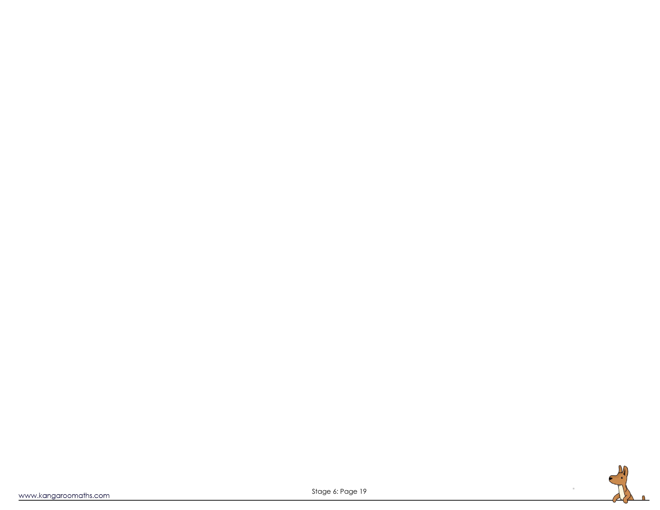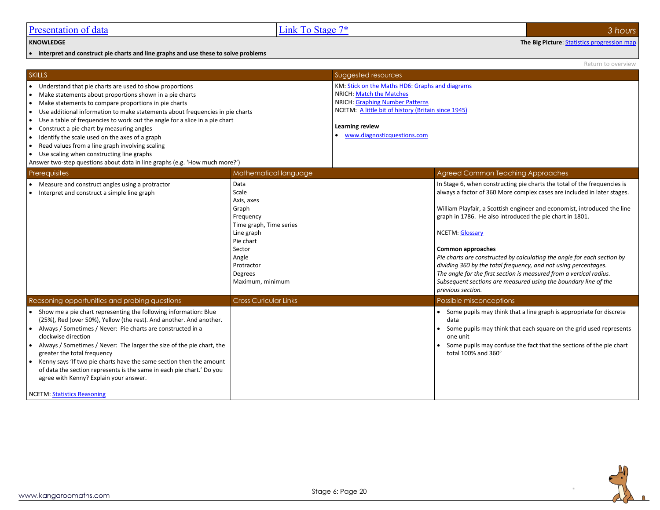<span id="page-19-0"></span>**KNOWLEDGE The Big Picture**[: Statistics progression map](http://kangaroomaths.com/free_resources/planning/KM_MathematicsProgression_Statistics.xlsx)

• **interpret and construct pie charts and line graphs and use these to solve problems**

|                                                                                                                                                                                                                                                                                                                                                                                                                                                                                                                                                                                                                                                 |                                                                                                                                                                         |                                                                                                                                                                                                                                  | Return to overview                                                                                                                                                                                                                                                                                                                                                                                                                                                                                                                                                                                                                                      |
|-------------------------------------------------------------------------------------------------------------------------------------------------------------------------------------------------------------------------------------------------------------------------------------------------------------------------------------------------------------------------------------------------------------------------------------------------------------------------------------------------------------------------------------------------------------------------------------------------------------------------------------------------|-------------------------------------------------------------------------------------------------------------------------------------------------------------------------|----------------------------------------------------------------------------------------------------------------------------------------------------------------------------------------------------------------------------------|---------------------------------------------------------------------------------------------------------------------------------------------------------------------------------------------------------------------------------------------------------------------------------------------------------------------------------------------------------------------------------------------------------------------------------------------------------------------------------------------------------------------------------------------------------------------------------------------------------------------------------------------------------|
| <b>SKILLS</b>                                                                                                                                                                                                                                                                                                                                                                                                                                                                                                                                                                                                                                   |                                                                                                                                                                         | Suggested resources                                                                                                                                                                                                              |                                                                                                                                                                                                                                                                                                                                                                                                                                                                                                                                                                                                                                                         |
| • Understand that pie charts are used to show proportions<br>• Make statements about proportions shown in a pie charts<br>• Make statements to compare proportions in pie charts<br>Use additional information to make statements about frequencies in pie charts<br>Use a table of frequencies to work out the angle for a slice in a pie chart<br>Construct a pie chart by measuring angles<br>$\bullet$<br>• Identify the scale used on the axes of a graph<br>Read values from a line graph involving scaling<br>• Use scaling when constructing line graphs<br>Answer two-step questions about data in line graphs (e.g. 'How much more?') |                                                                                                                                                                         | KM: Stick on the Maths HD6: Graphs and diagrams<br>NRICH: Match the Matches<br><b>NRICH: Graphing Number Patterns</b><br>NCETM: A little bit of history (Britain since 1945)<br>Learning review<br>• www.diagnosticquestions.com |                                                                                                                                                                                                                                                                                                                                                                                                                                                                                                                                                                                                                                                         |
| Prerequisites                                                                                                                                                                                                                                                                                                                                                                                                                                                                                                                                                                                                                                   | Mathematical language                                                                                                                                                   |                                                                                                                                                                                                                                  | Agreed Common Teaching Approaches                                                                                                                                                                                                                                                                                                                                                                                                                                                                                                                                                                                                                       |
| • Measure and construct angles using a protractor<br>• Interpret and construct a simple line graph                                                                                                                                                                                                                                                                                                                                                                                                                                                                                                                                              | Data<br>Scale<br>Axis, axes<br>Graph<br>Frequency<br>Time graph, Time series<br>Line graph<br>Pie chart<br>Sector<br>Angle<br>Protractor<br>Degrees<br>Maximum, minimum |                                                                                                                                                                                                                                  | In Stage 6, when constructing pie charts the total of the frequencies is<br>always a factor of 360 More complex cases are included in later stages.<br>William Playfair, a Scottish engineer and economist, introduced the line<br>graph in 1786. He also introduced the pie chart in 1801.<br>NCETM: Glossary<br><b>Common approaches</b><br>Pie charts are constructed by calculating the angle for each section by<br>dividing 360 by the total frequency, and not using percentages.<br>The angle for the first section is measured from a vertical radius.<br>Subsequent sections are measured using the boundary line of the<br>previous section. |
| Reasoning opportunities and probing questions                                                                                                                                                                                                                                                                                                                                                                                                                                                                                                                                                                                                   | <b>Cross Curicular Links</b>                                                                                                                                            |                                                                                                                                                                                                                                  | Possible misconceptions                                                                                                                                                                                                                                                                                                                                                                                                                                                                                                                                                                                                                                 |
| • Show me a pie chart representing the following information: Blue<br>(25%), Red (over 50%), Yellow (the rest). And another. And another.<br>• Always / Sometimes / Never: Pie charts are constructed in a<br>clockwise direction<br>• Always / Sometimes / Never: The larger the size of the pie chart, the<br>greater the total frequency<br>• Kenny says 'If two pie charts have the same section then the amount<br>of data the section represents is the same in each pie chart.' Do you<br>agree with Kenny? Explain your answer.<br><b>NCETM: Statistics Reasoning</b>                                                                   |                                                                                                                                                                         |                                                                                                                                                                                                                                  | • Some pupils may think that a line graph is appropriate for discrete<br>data<br>• Some pupils may think that each square on the grid used represents<br>one unit<br>• Some pupils may confuse the fact that the sections of the pie chart<br>total 100% and 360°                                                                                                                                                                                                                                                                                                                                                                                       |

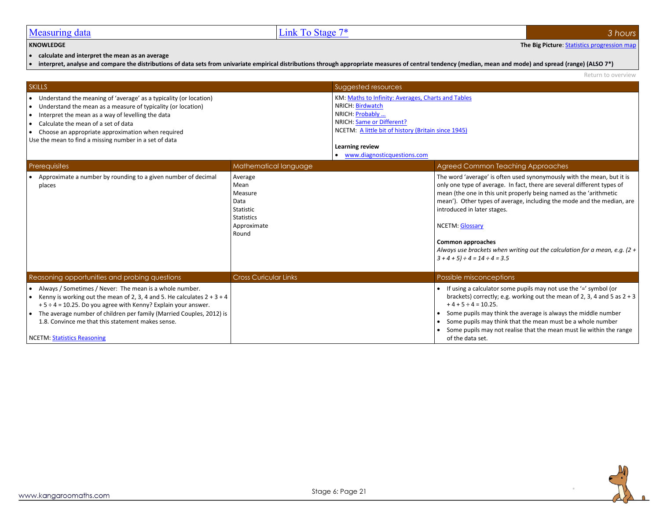<span id="page-20-0"></span>

| Measuring data                                                                                                                                                                                                                                                                                                                                 | Link To Stage 7*                                                                             |                                                                                                                                                                                                                                   | 3 hours                                                                                                                                                                                                                                                                                                                                                                                                                                                                                         |
|------------------------------------------------------------------------------------------------------------------------------------------------------------------------------------------------------------------------------------------------------------------------------------------------------------------------------------------------|----------------------------------------------------------------------------------------------|-----------------------------------------------------------------------------------------------------------------------------------------------------------------------------------------------------------------------------------|-------------------------------------------------------------------------------------------------------------------------------------------------------------------------------------------------------------------------------------------------------------------------------------------------------------------------------------------------------------------------------------------------------------------------------------------------------------------------------------------------|
| <b>KNOWLEDGE</b>                                                                                                                                                                                                                                                                                                                               |                                                                                              |                                                                                                                                                                                                                                   | The Big Picture: Statistics progression map                                                                                                                                                                                                                                                                                                                                                                                                                                                     |
| • calculate and interpret the mean as an average<br>interpret, analyse and compare the distributions of data sets from univariate empirical distributions through appropriate measures of central tendency (median, mean and mode) and spread (range) (ALSO 7*)                                                                                |                                                                                              |                                                                                                                                                                                                                                   |                                                                                                                                                                                                                                                                                                                                                                                                                                                                                                 |
|                                                                                                                                                                                                                                                                                                                                                |                                                                                              |                                                                                                                                                                                                                                   | Return to overview                                                                                                                                                                                                                                                                                                                                                                                                                                                                              |
| SKILLS <sup>'</sup>                                                                                                                                                                                                                                                                                                                            |                                                                                              | Suggested resources                                                                                                                                                                                                               |                                                                                                                                                                                                                                                                                                                                                                                                                                                                                                 |
| • Understand the meaning of 'average' as a typicality (or location)<br>Understand the mean as a measure of typicality (or location)<br>Interpret the mean as a way of levelling the data<br>Calculate the mean of a set of data<br>Choose an appropriate approximation when required<br>Use the mean to find a missing number in a set of data |                                                                                              | KM: Maths to Infinity: Averages, Charts and Tables<br>NRICH: Birdwatch<br>NRICH: Probably<br>NRICH: Same or Different?<br>NCETM: A little bit of history (Britain since 1945)<br>Learning review<br>• www.diagnosticquestions.com |                                                                                                                                                                                                                                                                                                                                                                                                                                                                                                 |
| Prerequisites                                                                                                                                                                                                                                                                                                                                  | Mathematical language                                                                        |                                                                                                                                                                                                                                   | <b>Agreed Common Teaching Approaches</b>                                                                                                                                                                                                                                                                                                                                                                                                                                                        |
| • Approximate a number by rounding to a given number of decimal<br>places                                                                                                                                                                                                                                                                      | Average<br>Mean<br>Measure<br>Data<br>Statistic<br><b>Statistics</b><br>Approximate<br>Round |                                                                                                                                                                                                                                   | The word 'average' is often used synonymously with the mean, but it is<br>only one type of average. In fact, there are several different types of<br>mean (the one in this unit properly being named as the 'arithmetic<br>mean'). Other types of average, including the mode and the median, are<br>introduced in later stages.<br><b>NCETM: Glossary</b><br>Common approaches<br>Always use brackets when writing out the calculation for a mean, e.g. (2 +<br>$3 + 4 + 5$ ÷ 4 = 14 ÷ 4 = 3.5 |
| Reasoning opportunities and probing questions                                                                                                                                                                                                                                                                                                  | <b>Cross Curicular Links</b>                                                                 |                                                                                                                                                                                                                                   | Possible misconceptions                                                                                                                                                                                                                                                                                                                                                                                                                                                                         |
| • Always / Sometimes / Never: The mean is a whole number.<br>• Kenny is working out the mean of 2, 3, 4 and 5. He calculates $2 + 3 + 4$<br>$+5 \div 4 = 10.25$ . Do you agree with Kenny? Explain your answer.<br>• The average number of children per family (Married Couples, 2012) is<br>1.8. Convince me that this statement makes sense. |                                                                                              |                                                                                                                                                                                                                                   | • If using a calculator some pupils may not use the $'=$ symbol (or<br>brackets) correctly; e.g. working out the mean of 2, 3, 4 and 5 as $2 + 3$<br>$+4+5 \div 4 = 10.25$ .<br>Some pupils may think the average is always the middle number<br>• Some pupils may think that the mean must be a whole number                                                                                                                                                                                   |

• Some pupils may think that the mean must be a whole number • Some pupils may not realise that the mean must lie within the range

of the data set.